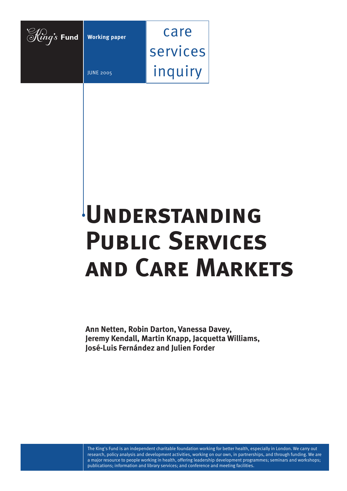

# **UNDERSTANDING Public Services and Care Markets**

**Ann Netten, Robin Darton, Vanessa Davey, Jeremy Kendall, Martin Knapp, Jacquetta Williams, José-Luis Fernández and Julien Forder**

The King's Fund is an independent charitable foundation working for better health, especially in London. We carry out research, policy analysis and development activities, working on our own, in partnerships, and through funding. We are a major resource to people working in health, offering leadership development programmes; seminars and workshops; publications; information and library services; and conference and meeting facilities.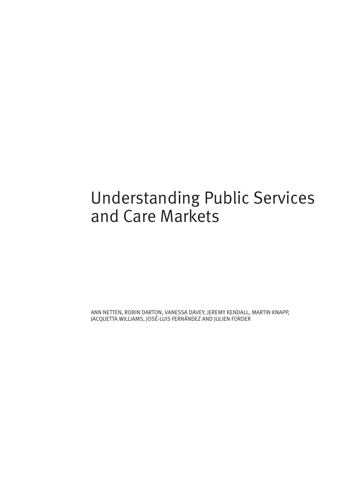# Understanding Public Services and Care Markets

ANN NETTEN, ROBIN DARTON, VANESSA DAVEY, JEREMY KENDALL, MARTIN KNAPP, JACQUETTA WILLIAMS, JOSÉ-LUIS FERNÁNDEZ AND JULIEN FORDER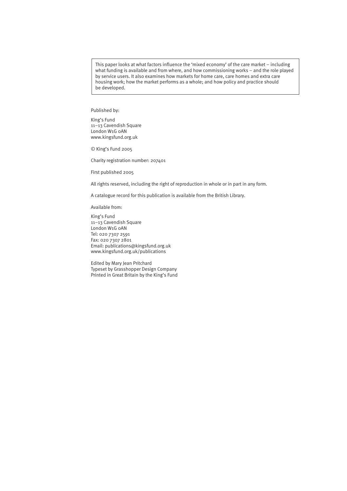This paper looks at what factors influence the 'mixed economy' of the care market – including what funding is available and from where, and how commissioning works – and the role played by service users. It also examines how markets for home care, care homes and extra care housing work; how the market performs as a whole; and how policy and practice should be developed.

Published by:

King's Fund 11–13 Cavendish Square London W1G 0AN www.kingsfund.org.uk

© King's Fund 2005

Charity registration number: 207401

First published 2005

All rights reserved, including the right of reproduction in whole or in part in any form.

A catalogue record for this publication is available from the British Library.

Available from:

King's Fund 11–13 Cavendish Square London W1G 0AN Tel: 020 7307 2591 Fax: 020 7307 2801 Email: publications@kingsfund.org.uk www.kingsfund.org.uk/publications

Edited by Mary Jean Pritchard Typeset by Grasshopper Design Company Printed in Great Britain by the King's Fund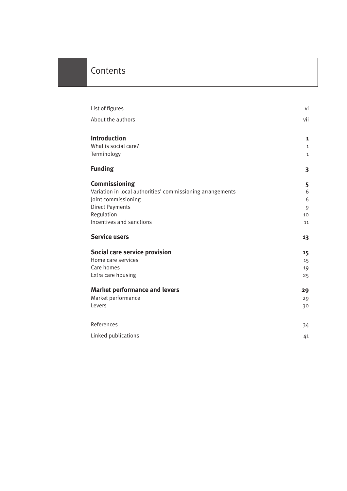# Contents

| List of figures                                            | vi           |
|------------------------------------------------------------|--------------|
| About the authors                                          | vii          |
| <b>Introduction</b>                                        | 1            |
| What is social care?                                       | $\mathbf{1}$ |
| Terminology                                                | $\mathbf{1}$ |
| <b>Funding</b>                                             | 3            |
| Commissioning                                              | 5            |
| Variation in local authorities' commissioning arrangements | 6            |
| Joint commissioning                                        | 6            |
| <b>Direct Payments</b>                                     | 9            |
| Regulation                                                 | 10           |
| Incentives and sanctions                                   | 11           |
| <b>Service users</b>                                       | 13           |
| Social care service provision                              | 15           |
| Home care services                                         | 15           |
| Care homes                                                 | 19           |
| Extra care housing                                         | 25           |
| <b>Market performance and levers</b>                       | 29           |
| Market performance                                         | 29           |
| Levers                                                     | 30           |
| References                                                 | 34           |
| Linked publications                                        | 41           |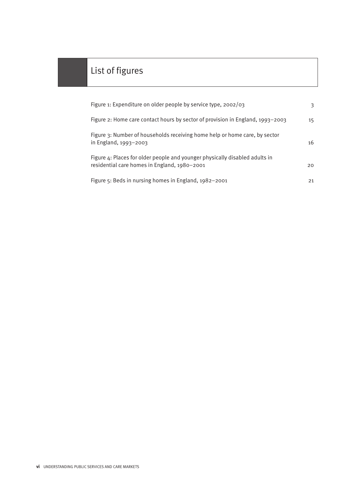# List of figures

| Figure 1: Expenditure on older people by service type, 2002/03                                                              | 3  |
|-----------------------------------------------------------------------------------------------------------------------------|----|
| Figure 2: Home care contact hours by sector of provision in England, 1993-2003                                              | 15 |
| Figure 3: Number of households receiving home help or home care, by sector<br>in England, 1993-2003                         | 16 |
| Figure 4: Places for older people and younger physically disabled adults in<br>residential care homes in England, 1980-2001 | 20 |
| Figure $5:$ Beds in nursing homes in England, $1982 - 2001$                                                                 | 21 |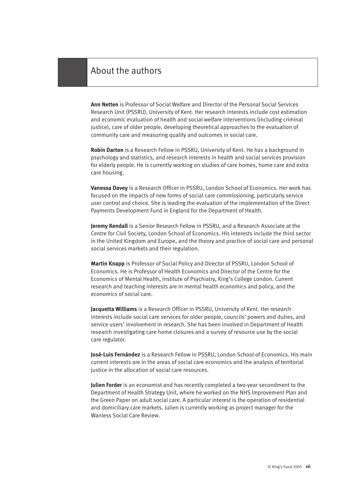# About the authors

**Ann Netten** is Professor of Social Welfare and Director of the Personal Social Services Research Unit (PSSRU), University of Kent. Her research interests include cost estimation and economic evaluation of health and social welfare interventions (including criminal justice), care of older people, developing theoretical approaches to the evaluation of community care and measuring quality and outcomes in social care.

**Robin Darton** is a Research Fellow in PSSRU, University of Kent. He has a background in psychology and statistics, and research interests in health and social services provision for elderly people. He is currently working on studies of care homes, home care and extra care housing.

**Vanessa Davey** is a Research Officer in PSSRU, London School of Economics. Her work has focused on the impacts of new forms of social care commissioning, particularly service user control and choice. She is leading the evaluation of the implementation of the Direct Payments Development Fund in England for the Department of Health.

**Jeremy Kendall** is a Senior Research Fellow in PSSRU, and a Research Associate at the Centre for Civil Society, London School of Economics. His interests include the third sector in the United Kingdom and Europe, and the theory and practice of social care and personal social services markets and their regulation.

**Martin Knapp** is Professor of Social Policy and Director of PSSRU, London School of Economics. He is Professor of Health Economics and Director of the Centre for the Economics of Mental Health, Institute of Psychiatry, King's College London. Current research and teaching interests are in mental health economics and policy, and the economics of social care.

**Jacquetta Williams** is a Research Officer in PSSRU, University of Kent. Her research interests include social care services for older people, councils' powers and duties, and service users' involvement in research. She has been involved in Department of Health research investigating care home closures and a survey of resource use by the social care regulator.

**José-Luis Fernández** is a Research Fellow in PSSRU, London School of Economics. His main current interests are in the areas of social care economics and the analysis of territorial justice in the allocation of social care resources.

**Julien Forder** is an economist and has recently completed a two-year secondment to the Department of Health Strategy Unit, where he worked on the NHS Improvement Plan and the Green Paper on adult social care. A particular interest is the operation of residential and domiciliary care markets. Julien is currently working as project manager for the Wanless Social Care Review.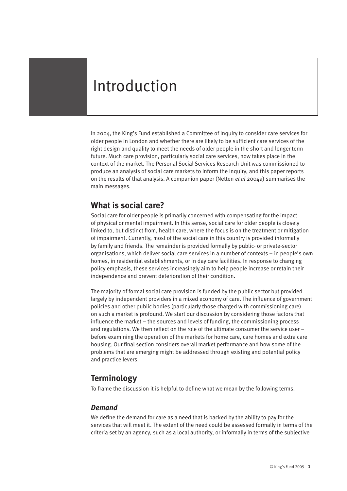# Introduction

In 2004, the King's Fund established a Committee of Inquiry to consider care services for older people in London and whether there are likely to be sufficient care services of the right design and quality to meet the needs of older people in the short and longer term future. Much care provision, particularly social care services, now takes place in the context of the market. The Personal Social Services Research Unit was commissioned to produce an analysis of social care markets to inform the Inquiry, and this paper reports on the results of that analysis. A companion paper (Netten *et al* 2004a) summarises the main messages.

# **What is social care?**

Social care for older people is primarily concerned with compensating for the impact of physical or mental impairment. In this sense, social care for older people is closely linked to, but distinct from, health care, where the focus is on the treatment or mitigation of impairment. Currently, most of the social care in this country is provided informally by family and friends. The remainder is provided formally by public- or private-sector organisations, which deliver social care services in a number of contexts – in people's own homes, in residential establishments, or in day care facilities. In response to changing policy emphasis, these services increasingly aim to help people increase or retain their independence and prevent deterioration of their condition.

The majority of formal social care provision is funded by the public sector but provided largely by independent providers in a mixed economy of care. The influence of government policies and other public bodies (particularly those charged with commissioning care) on such a market is profound. We start our discussion by considering those factors that influence the market – the sources and levels of funding, the commissioning process and regulations. We then reflect on the role of the ultimate consumer the service user – before examining the operation of the markets for home care, care homes and extra care housing. Our final section considers overall market performance and how some of the problems that are emerging might be addressed through existing and potential policy and practice levers.

# **Terminology**

To frame the discussion it is helpful to define what we mean by the following terms.

### *Demand*

We define the demand for care as a need that is backed by the ability to pay for the services that will meet it. The extent of the need could be assessed formally in terms of the criteria set by an agency, such as a local authority, or informally in terms of the subjective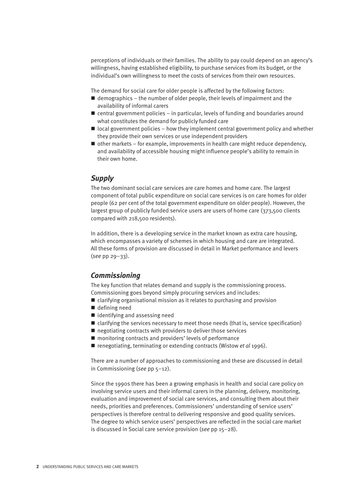perceptions of individuals or their families. The ability to pay could depend on an agency's willingness, having established eligibility, to purchase services from its budget, or the individual's own willingness to meet the costs of services from their own resources.

The demand for social care for older people is affected by the following factors:

- $\blacksquare$  demographics the number of older people, their levels of impairment and the availability of informal carers
- $\blacksquare$  central government policies in particular, levels of funding and boundaries around what constitutes the demand for publicly funded care
- $\blacksquare$  local government policies how they implement central government policy and whether they provide their own services or use independent providers
- $\blacksquare$  other markets for example, improvements in health care might reduce dependency, and availability of accessible housing might influence people's ability to remain in their own home.

#### *Supply*

The two dominant social care services are care homes and home care. The largest component of total public expenditure on social care services is on care homes for older people (62 per cent of the total government expenditure on older people). However, the largest group of publicly funded service users are users of home care (373,500 clients compared with 218,500 residents).

In addition, there is a developing service in the market known as extra care housing, which encompasses a variety of schemes in which housing and care are integrated. All these forms of provision are discussed in detail in Market performance and levers (*see* pp 29–33).

#### *Commissioning*

The key function that relates demand and supply is the commissioning process. Commissioning goes beyond simply procuring services and includes:

- $\blacksquare$  clarifying organisational mission as it relates to purchasing and provision
- $\blacksquare$  defining need
- $\blacksquare$  identifying and assessing need
- $\blacksquare$  clarifying the services necessary to meet those needs (that is, service specification)
- $\blacksquare$  negotiating contracts with providers to deliver those services
- $\blacksquare$  monitoring contracts and providers' levels of performance
- renegotiating, terminating or extending contracts (Wistow *et al* 1996).

There are a number of approaches to commissioning and these are discussed in detail in Commissioning (*see* pp 5–12).

Since the 1990s there has been a growing emphasis in health and social care policy on involving service users and their informal carers in the planning, delivery, monitoring, evaluation and improvement of social care services, and consulting them about their needs, priorities and preferences. Commissioners' understanding of service users' perspectives is therefore central to delivering responsive and good quality services. The degree to which service users' perspectives are reflected in the social care market is discussed in Social care service provision (*see* pp 15–28).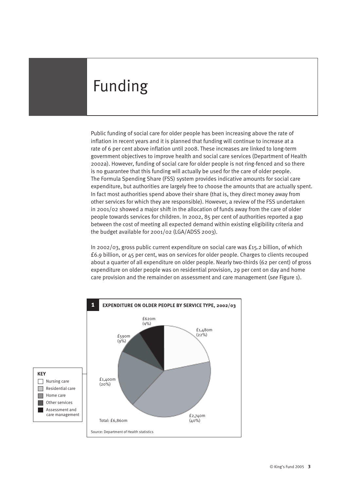# Funding

Public funding of social care for older people has been increasing above the rate of inflation in recent years and it is planned that funding will continue to increase at a rate of 6 per cent above inflation until 2008. These increases are linked to long-term government objectives to improve health and social care services (Department of Health 2002a). However, funding of social care for older people is not ring-fenced and so there is no guarantee that this funding will actually be used for the care of older people. The Formula Spending Share (FSS) system provides indicative amounts for social care expenditure, but authorities are largely free to choose the amounts that are actually spent. In fact most authorities spend above their share (that is, they direct money away from other services for which they are responsible). However, a review of the FSS undertaken in 2001/02 showed a major shift in the allocation of funds away from the care of older people towards services for children. In 2002, 85 per cent of authorities reported a gap between the cost of meeting all expected demand within existing eligibility criteria and the budget available for 2001/02 (LGA/ADSS 2003).

In 2002/03, gross public current expenditure on social care was £15.2 billion, of which £6.9 billion, or 45 per cent, was on services for older people. Charges to clients recouped about a quarter of all expenditure on older people. Nearly two-thirds (62 per cent) of gross expenditure on older people was on residential provision, 29 per cent on day and home care provision and the remainder on assessment and care management (*see* Figure 1).

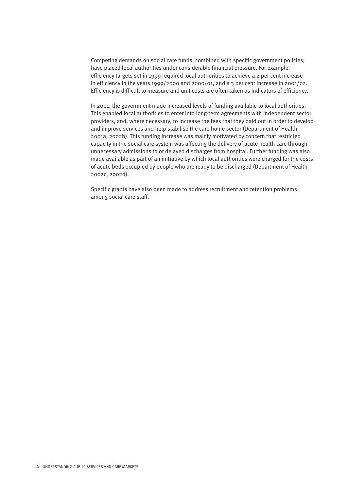Competing demands on social care funds, combined with specific government policies, have placed local authorities under considerable financial pressure. For example, efficiency targets set in 1999 required local authorities to achieve a 2 per cent increase in efficiency in the years 1999/2000 and 2000/01, and a 3 per cent increase in 2001/02. Efficiency is difficult to measure and unit costs are often taken as indicators of efficiency.

In 2001, the government made increased levels of funding available to local authorities. This enabled local authorities to enter into long-term agreements with independent sector providers, and, where necessary, to increase the fees that they paid out in order to develop and improve services and help stabilise the care home sector (Department of Health 2001a, 2002b). This funding increase was mainly motivated by concern that restricted capacity in the social care system was affecting the delivery of acute health care through unnecessary admissions to or delayed discharges from hospital. Further funding was also made available as part of an initiative by which local authorities were charged for the costs of acute beds occupied by people who are ready to be discharged (Department of Health 2002c, 2002d).

Specific grants have also been made to address recruitment and retention problems among social care staff.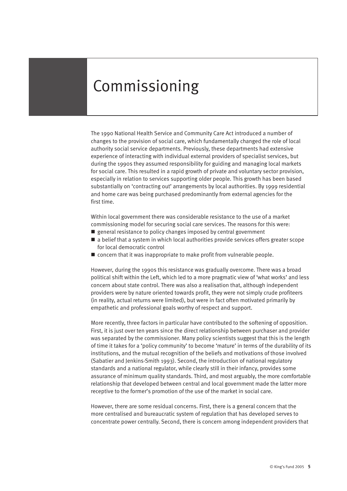# Commissioning

The 1990 National Health Service and Community Care Act introduced a number of changes to the provision of social care, which fundamentally changed the role of local authority social service departments. Previously, these departments had extensive experience of interacting with individual external providers of specialist services, but during the 1990s they assumed responsibility for guiding and managing local markets for social care. This resulted in a rapid growth of private and voluntary sector provision, especially in relation to services supporting older people. This growth has been based substantially on 'contracting out' arrangements by local authorities. By 1999 residential and home care was being purchased predominantly from external agencies for the first time.

Within local government there was considerable resistance to the use of a market commissioning model for securing social care services. The reasons for this were:

- $\blacksquare$  general resistance to policy changes imposed by central government
- $\blacksquare$  a belief that a system in which local authorities provide services offers greater scope for local democratic control
- $\blacksquare$  concern that it was inappropriate to make profit from vulnerable people.

However, during the 1990s this resistance was gradually overcome. There was a broad political shift within the Left, which led to a more pragmatic view of 'what works' and less concern about state control. There was also a realisation that, although independent providers were by nature oriented towards profit, they were not simply crude profiteers (in reality, actual returns were limited), but were in fact often motivated primarily by empathetic and professional goals worthy of respect and support.

More recently, three factors in particular have contributed to the softening of opposition. First, it is just over ten years since the direct relationship between purchaser and provider was separated by the commissioner. Many policy scientists suggest that this is the length of time it takes for a 'policy community' to become 'mature' in terms of the durability of its institutions, and the mutual recognition of the beliefs and motivations of those involved (Sabatier and Jenkins-Smith 1993). Second, the introduction of national regulatory standards and a national regulator, while clearly still in their infancy, provides some assurance of minimum quality standards. Third, and most arguably, the more comfortable relationship that developed between central and local government made the latter more receptive to the former's promotion of the use of the market in social care.

However, there are some residual concerns. First, there is a general concern that the more centralised and bureaucratic system of regulation that has developed serves to concentrate power centrally. Second, there is concern among independent providers that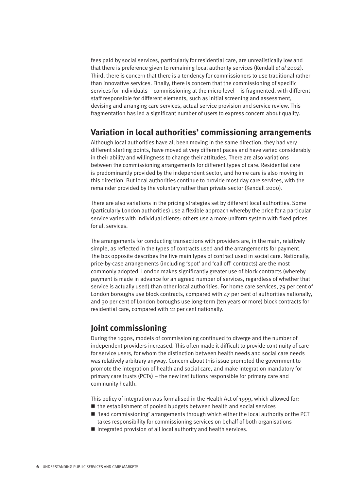fees paid by social services, particularly for residential care, are unrealistically low and that there is preference given to remaining local authority services (Kendall *et al* 2002). Third, there is concern that there is a tendency for commissioners to use traditional rather than innovative services. Finally, there is concern that the commissioning of specific services for individuals – commissioning at the micro level – is fragmented, with different staff responsible for different elements, such as initial screening and assessment, devising and arranging care services, actual service provision and service review. This fragmentation has led a significant number of users to express concern about quality.

# **Variation in local authorities' commissioning arrangements**

Although local authorities have all been moving in the same direction, they had very different starting points, have moved at very different paces and have varied considerably in their ability and willingness to change their attitudes. There are also variations between the commissioning arrangements for different types of care. Residential care is predominantly provided by the independent sector, and home care is also moving in this direction. But local authorities continue to provide most day care services, with the remainder provided by the voluntary rather than private sector (Kendall 2000).

There are also variations in the pricing strategies set by different local authorities. Some (particularly London authorities) use a flexible approach whereby the price for a particular service varies with individual clients: others use a more uniform system with fixed prices for all services.

The arrangements for conducting transactions with providers are, in the main, relatively simple, as reflected in the types of contracts used and the arrangements for payment. The box opposite describes the five main types of contract used in social care. Nationally, price-by-case arrangements (including 'spot' and 'call off' contracts) are the most commonly adopted. London makes significantly greater use of block contracts (whereby payment is made in advance for an agreed number of services, regardless of whether that service is actually used) than other local authorities. For home care services, 79 per cent of London boroughs use block contracts, compared with 47 per cent of authorities nationally, and 30 per cent of London boroughs use long-term (ten years or more) block contracts for residential care, compared with 12 per cent nationally.

# **Joint commissioning**

During the 1990s, models of commissioning continued to diverge and the number of independent providers increased. This often made it difficult to provide continuity of care for service users, for whom the distinction between health needs and social care needs was relatively arbitrary anyway. Concern about this issue prompted the government to promote the integration of health and social care, and make integration mandatory for primary care trusts (PCTs) – the new institutions responsible for primary care and community health.

This policy of integration was formalised in the Health Act of 1999, which allowed for:

- $\blacksquare$  the establishment of pooled budgets between health and social services
- $\blacksquare$  'lead commissioning' arrangements through which either the local authority or the PCT takes responsibility for commissioning services on behalf of both organisations
- $\blacksquare$  integrated provision of all local authority and health services.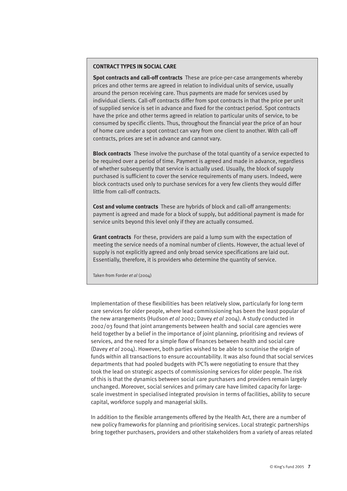#### **CONTRACT TYPES IN SOCIAL CARE**

**Spot contracts and call-off contracts** These are price-per-case arrangements whereby prices and other terms are agreed in relation to individual units of service, usually around the person receiving care. Thus payments are made for services used by individual clients. Call-off contracts differ from spot contracts in that the price per unit of supplied service is set in advance and fixed for the contract period. Spot contracts have the price and other terms agreed in relation to particular units of service, to be consumed by specific clients. Thus, throughout the financial year the price of an hour of home care under a spot contract can vary from one client to another. With call-off contracts, prices are set in advance and cannot vary.

**Block contracts** These involve the purchase of the total quantity of a service expected to be required over a period of time. Payment is agreed and made in advance, regardless of whether subsequently that service is actually used. Usually, the block of supply purchased is sufficient to cover the service requirements of many users. Indeed, were block contracts used only to purchase services for a very few clients they would differ little from call-off contracts.

**Cost and volume contracts** These are hybrids of block and call-off arrangements: payment is agreed and made for a block of supply, but additional payment is made for service units beyond this level only if they are actually consumed.

**Grant contracts** For these, providers are paid a lump sum with the expectation of meeting the service needs of a nominal number of clients. However, the actual level of supply is not explicitly agreed and only broad service specifications are laid out. Essentially, therefore, it is providers who determine the quantity of service.

Taken from Forder *et al* (2004)

Implementation of these flexibilities has been relatively slow, particularly for long-term care services for older people, where lead commissioning has been the least popular of the new arrangements (Hudson *et al* 2002; Davey *et al* 2004). A study conducted in 2002/03 found that joint arrangements between health and social care agencies were held together by a belief in the importance of joint planning, prioritising and reviews of services, and the need for a simple flow of finances between health and social care (Davey *et al* 2004). However, both parties wished to be able to scrutinise the origin of funds within all transactions to ensure accountability. It was also found that social services departments that had pooled budgets with PCTs were negotiating to ensure that they took the lead on strategic aspects of commissioning services for older people. The risk of this is that the dynamics between social care purchasers and providers remain largely unchanged. Moreover, social services and primary care have limited capacity for largescale investment in specialised integrated provision in terms of facilities, ability to secure capital, workforce supply and managerial skills.

In addition to the flexible arrangements offered by the Health Act, there are a number of new policy frameworks for planning and prioritising services. Local strategic partnerships bring together purchasers, providers and other stakeholders from a variety of areas related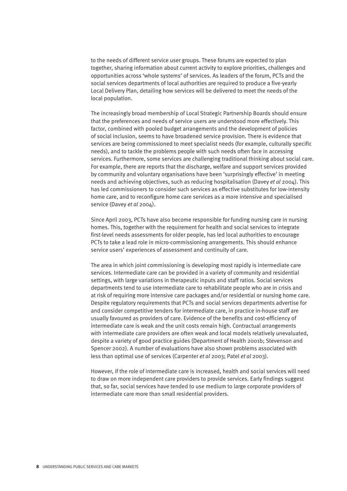to the needs of different service user groups. These forums are expected to plan together, sharing information about current activity to explore priorities, challenges and opportunities across 'whole systems' of services. As leaders of the forum, PCTs and the social services departments of local authorities are required to produce a five-yearly Local Delivery Plan, detailing how services will be delivered to meet the needs of the local population.

The increasingly broad membership of Local Strategic Partnership Boards should ensure that the preferences and needs of service users are understood more effectively. This factor, combined with pooled budget arrangements and the development of policies of social inclusion, seems to have broadened service provision. There is evidence that services are being commissioned to meet specialist needs (for example, culturally specific needs), and to tackle the problems people with such needs often face in accessing services. Furthermore, some services are challenging traditional thinking about social care. For example, there are reports that the discharge, welfare and support services provided by community and voluntary organisations have been 'surprisingly effective' in meeting needs and achieving objectives, such as reducing hospitalisation (Davey *et al* 2004). This has led commissioners to consider such services as effective substitutes for low-intensity home care, and to reconfigure home care services as a more intensive and specialised service (Davey *et al* 2004).

Since April 2003, PCTs have also become responsible for funding nursing care in nursing homes. This, together with the requirement for health and social services to integrate first-level needs assessments for older people, has led local authorities to encourage PCTs to take a lead role in micro-commissioning arrangements. This should enhance service users' experiences of assessment and continuity of care.

The area in which joint commissioning is developing most rapidly is intermediate care services. Intermediate care can be provided in a variety of community and residential settings, with large variations in therapeutic inputs and staff ratios. Social services departments tend to use intermediate care to rehabilitate people who are in crisis and at risk of requiring more intensive care packages and/or residential or nursing home care. Despite regulatory requirements that PCTs and social services departments advertise for and consider competitive tenders for intermediate care, in practice in-house staff are usually favoured as providers of care. Evidence of the benefits and cost-efficiency of intermediate care is weak and the unit costs remain high. Contractual arrangements with intermediate care providers are often weak and local models relatively unevaluated, despite a variety of good practice guides (Department of Health 2001b; Stevenson and Spencer 2002). A number of evaluations have also shown problems associated with less than optimal use of services (Carpenter *et al* 2003; Patel *et al* 2003).

However, if the role of intermediate care is increased, health and social services will need to draw on more independent care providers to provide services. Early findings suggest that, so far, social services have tended to use medium to large corporate providers of intermediate care more than small residential providers.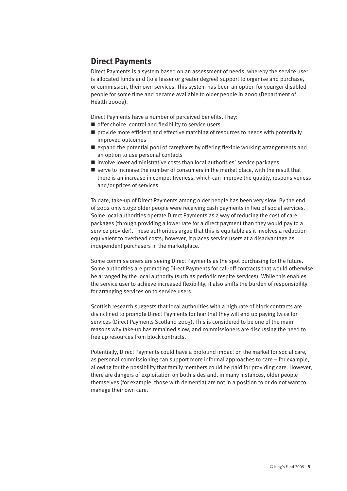# **Direct Payments**

Direct Payments is a system based on an assessment of needs, whereby the service user is allocated funds and (to a lesser or greater degree) support to organise and purchase, or commission, their own services. This system has been an option for younger disabled people for some time and became available to older people in 2000 (Department of Health 2000a).

Direct Payments have a number of perceived benefits. They:

- $\blacksquare$  offer choice, control and flexibility to service users
- $\blacksquare$  provide more efficient and effective matching of resources to needs with potentially improved outcomes
- $\blacksquare$  expand the potential pool of caregivers by offering flexible working arrangements and an option to use personal contacts
- $\blacksquare$  involve lower administrative costs than local authorities' service packages
- $\blacksquare$  serve to increase the number of consumers in the market place, with the result that there is an increase in competitiveness, which can improve the quality, responsiveness and/or prices of services.

To date, take-up of Direct Payments among older people has been very slow. By the end of 2002 only 1,032 older people were receiving cash payments in lieu of social services. Some local authorities operate Direct Payments as a way of reducing the cost of care packages (through providing a lower rate for a direct payment than they would pay to a service provider). These authorities argue that this is equitable as it involves a reduction equivalent to overhead costs; however, it places service users at a disadvantage as independent purchasers in the marketplace.

Some commissioners are seeing Direct Payments as the spot purchasing for the future. Some authorities are promoting Direct Payments for call-off contracts that would otherwise be arranged by the local authority (such as periodic respite services). While this enables the service user to achieve increased flexibility, it also shifts the burden of responsibility for arranging services on to service users.

Scottish research suggests that local authorities with a high rate of block contracts are disinclined to promote Direct Payments for fear that they will end up paying twice for services (Direct Payments Scotland 2003). This is considered to be one of the main reasons why take-up has remained slow, and commissioners are discussing the need to free up resources from block contracts.

Potentially, Direct Payments could have a profound impact on the market for social care, as personal commissioning can support more informal approaches to care – for example, allowing for the possibility that family members could be paid for providing care. However, there are dangers of exploitation on both sides and, in many instances, older people themselves (for example, those with dementia) are not in a position to or do not want to manage their own care.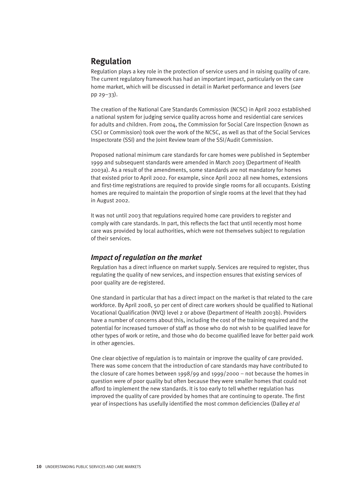# **Regulation**

Regulation plays a key role in the protection of service users and in raising quality of care. The current regulatory framework has had an important impact, particularly on the care home market, which will be discussed in detail in Market performance and levers (*see* pp 29–33).

The creation of the National Care Standards Commission (NCSC) in April 2002 established a national system for judging service quality across home and residential care services for adults and children. From 2004, the Commission for Social Care Inspection (known as CSCI or Commission) took over the work of the NCSC, as well as that of the Social Services Inspectorate (SSI) and the Joint Review team of the SSI/Audit Commission.

Proposed national minimum care standards for care homes were published in September 1999 and subsequent standards were amended in March 2003 (Department of Health 2003a). As a result of the amendments, some standards are not mandatory for homes that existed prior to April 2002. For example, since April 2002 all new homes, extensions and first-time registrations are required to provide single rooms for all occupants. Existing homes are required to maintain the proportion of single rooms at the level that they had in August 2002.

It was not until 2003 that regulations required home care providers to register and comply with care standards. In part, this reflects the fact that until recently most home care was provided by local authorities, which were not themselves subject to regulation of their services.

#### *Impact of regulation on the market*

Regulation has a direct influence on market supply. Services are required to register, thus regulating the quality of new services, and inspection ensures that existing services of poor quality are de-registered.

One standard in particular that has a direct impact on the market is that related to the care workforce. By April 2008, 50 per cent of direct care workers should be qualified to National Vocational Qualification (NVQ) level 2 or above (Department of Health 2003b). Providers have a number of concerns about this, including the cost of the training required and the potential for increased turnover of staff as those who do not wish to be qualified leave for other types of work or retire, and those who do become qualified leave for better paid work in other agencies.

One clear objective of regulation is to maintain or improve the quality of care provided. There was some concern that the introduction of care standards may have contributed to the closure of care homes between 1998/99 and 1999/2000 – not because the homes in question were of poor quality but often because they were smaller homes that could not afford to implement the new standards. It is too early to tell whether regulation has improved the quality of care provided by homes that are continuing to operate. The first year of inspections has usefully identified the most common deficiencies (Dalley *et al*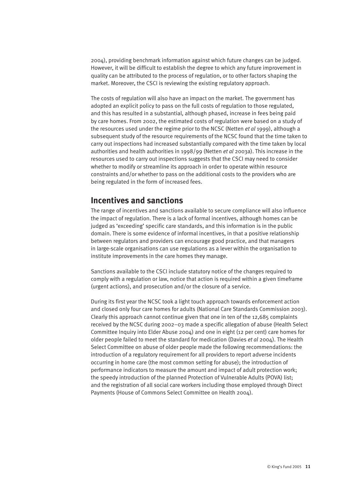2004), providing benchmark information against which future changes can be judged. However, it will be difficult to establish the degree to which any future improvement in quality can be attributed to the process of regulation, or to other factors shaping the market. Moreover, the CSCI is reviewing the existing regulatory approach.

The costs of regulation will also have an impact on the market. The government has adopted an explicit policy to pass on the full costs of regulation to those regulated, and this has resulted in a substantial, although phased, increase in fees being paid by care homes. From 2002, the estimated costs of regulation were based on a study of the resources used under the regime prior to the NCSC (Netten *et al* 1999), although a subsequent study of the resource requirements of the NCSC found that the time taken to carry out inspections had increased substantially compared with the time taken by local authorities and health authorities in 1998/99 (Netten *et al* 2003a). This increase in the resources used to carry out inspections suggests that the CSCI may need to consider whether to modify or streamline its approach in order to operate within resource constraints and/or whether to pass on the additional costs to the providers who are being regulated in the form of increased fees.

# **Incentives and sanctions**

The range of incentives and sanctions available to secure compliance will also influence the impact of regulation. There is a lack of formal incentives, although homes can be judged as 'exceeding' specific care standards, and this information is in the public domain. There is some evidence of informal incentives, in that a positive relationship between regulators and providers can encourage good practice, and that managers in large-scale organisations can use regulations as a lever within the organisation to institute improvements in the care homes they manage.

Sanctions available to the CSCI include statutory notice of the changes required to comply with a regulation or law, notice that action is required within a given timeframe (urgent actions), and prosecution and/or the closure of a service.

During its first year the NCSC took a light touch approach towards enforcement action and closed only four care homes for adults (National Care Standards Commission 2003). Clearly this approach cannot continue given that one in ten of the 12,685 complaints received by the NCSC during 2002–03 made a specific allegation of abuse (Health Select Committee Inquiry into Elder Abuse 2004) and one in eight (12 per cent) care homes for older people failed to meet the standard for medication (Davies *et al* 2004). The Health Select Committee on abuse of older people made the following recommendations: the introduction of a regulatory requirement for all providers to report adverse incidents occurring in home care (the most common setting for abuse); the introduction of performance indicators to measure the amount and impact of adult protection work; the speedy introduction of the planned Protection of Vulnerable Adults (POVA) list; and the registration of all social care workers including those employed through Direct Payments (House of Commons Select Committee on Health 2004).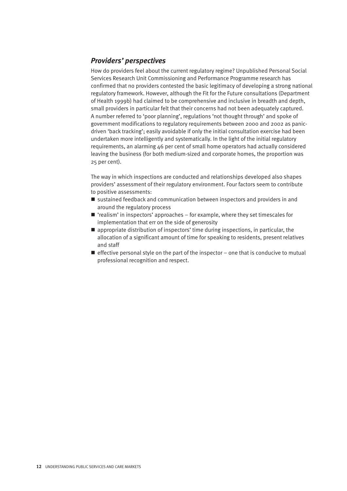### *Providers' perspectives*

How do providers feel about the current regulatory regime? Unpublished Personal Social Services Research Unit Commissioning and Performance Programme research has confirmed that no providers contested the basic legitimacy of developing a strong national regulatory framework. However, although the Fit for the Future consultations (Department of Health 1999b) had claimed to be comprehensive and inclusive in breadth and depth, small providers in particular felt that their concerns had not been adequately captured. A number referred to 'poor planning', regulations 'not thought through' and spoke of government modifications to regulatory requirements between 2000 and 2002 as panicdriven 'back tracking'; easily avoidable if only the initial consultation exercise had been undertaken more intelligently and systematically. In the light of the initial regulatory requirements, an alarming 46 per cent of small home operators had actually considered leaving the business (for both medium-sized and corporate homes, the proportion was 25 per cent).

The way in which inspections are conducted and relationships developed also shapes providers' assessment of their regulatory environment. Four factors seem to contribute to positive assessments:

- sustained feedback and communication between inspectors and providers in and around the regulatory process
- $\blacksquare$  'realism' in inspectors' approaches for example, where they set timescales for implementation that err on the side of generosity
- $\blacksquare$  appropriate distribution of inspectors' time during inspections, in particular, the allocation of a significant amount of time for speaking to residents, present relatives and staff
- $\blacksquare$  effective personal style on the part of the inspector one that is conducive to mutual professional recognition and respect.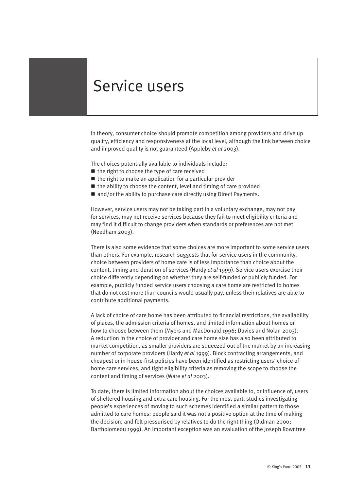# Service users

In theory, consumer choice should promote competition among providers and drive up quality, efficiency and responsiveness at the local level, although the link between choice and improved quality is not guaranteed (Appleby *et al* 2003).

The choices potentially available to individuals include:

- $\blacksquare$  the right to choose the type of care received
- $\blacksquare$  the right to make an application for a particular provider
- $\blacksquare$  the ability to choose the content, level and timing of care provided
- $\blacksquare$  and/or the ability to purchase care directly using Direct Payments.

However, service users may not be taking part in a voluntary exchange, may not pay for services, may not receive services because they fail to meet eligibility criteria and may find it difficult to change providers when standards or preferences are not met (Needham 2003).

There is also some evidence that some choices are more important to some service users than others. For example, research suggests that for service users in the community, choice between providers of home care is of less importance than choice about the content, timing and duration of services (Hardy *et al* 1999). Service users exercise their choice differently depending on whether they are self-funded or publicly funded. For example, publicly funded service users choosing a care home are restricted to homes that do not cost more than councils would usually pay, unless their relatives are able to contribute additional payments.

A lack of choice of care home has been attributed to financial restrictions, the availability of places, the admission criteria of homes, and limited information about homes or how to choose between them (Myers and MacDonald 1996; Davies and Nolan 2003). A reduction in the choice of provider and care home size has also been attributed to market competition, as smaller providers are squeezed out of the market by an increasing number of corporate providers (Hardy *et al* 1999). Block contracting arrangements, and cheapest or in-house-first policies have been identified as restricting users' choice of home care services, and tight eligibility criteria as removing the scope to choose the content and timing of services (Ware *et al* 2003).

To date, there is limited information about the choices available to, or influence of, users of sheltered housing and extra care housing. For the most part, studies investigating people's experiences of moving to such schemes identified a similar pattern to those admitted to care homes: people said it was not a positive option at the time of making the decision, and felt pressurised by relatives to do the right thing (Oldman 2000; Bartholomeou 1999). An important exception was an evaluation of the Joseph Rowntree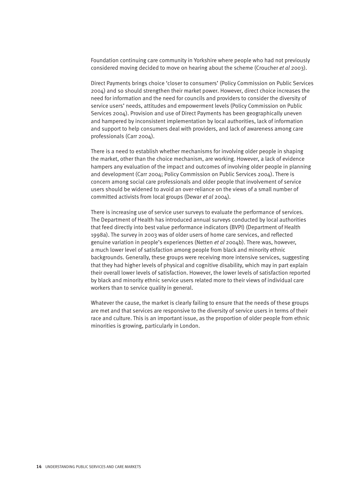Foundation continuing care community in Yorkshire where people who had not previously considered moving decided to move on hearing about the scheme (Croucher *et al* 2003).

Direct Payments brings choice 'closer to consumers' (Policy Commission on Public Services 2004) and so should strengthen their market power. However, direct choice increases the need for information and the need for councils and providers to consider the diversity of service users' needs, attitudes and empowerment levels (Policy Commission on Public Services 2004). Provision and use of Direct Payments has been geographically uneven and hampered by inconsistent implementation by local authorities, lack of information and support to help consumers deal with providers, and lack of awareness among care professionals (Carr 2004).

There is a need to establish whether mechanisms for involving older people in shaping the market, other than the choice mechanism, are working. However, a lack of evidence hampers any evaluation of the impact and outcomes of involving older people in planning and development (Carr 2004; Policy Commission on Public Services 2004). There is concern among social care professionals and older people that involvement of service users should be widened to avoid an over-reliance on the views of a small number of committed activists from local groups (Dewar *et al* 2004).

There is increasing use of service user surveys to evaluate the performance of services. The Department of Health has introduced annual surveys conducted by local authorities that feed directly into best value performance indicators (BVPI) (Department of Health 1998a). The survey in 2003 was of older users of home care services, and reflected genuine variation in people's experiences (Netten *et al* 2004b). There was, however, a much lower level of satisfaction among people from black and minority ethnic backgrounds. Generally, these groups were receiving more intensive services, suggesting that they had higher levels of physical and cognitive disability, which may in part explain their overall lower levels of satisfaction. However, the lower levels of satisfaction reported by black and minority ethnic service users related more to their views of individual care workers than to service quality in general.

Whatever the cause, the market is clearly failing to ensure that the needs of these groups are met and that services are responsive to the diversity of service users in terms of their race and culture. This is an important issue, as the proportion of older people from ethnic minorities is growing, particularly in London.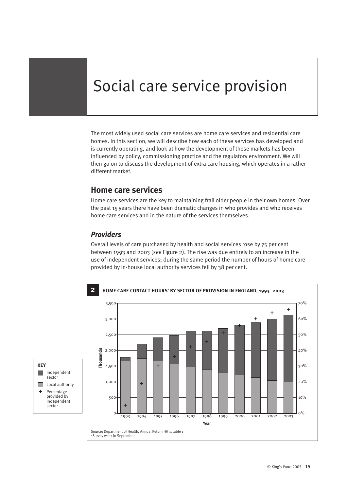# Social care service provision

The most widely used social care services are home care services and residential care homes. In this section, we will describe how each of these services has developed and is currently operating, and look at how the development of these markets has been influenced by policy, commissioning practice and the regulatory environment. We will then go on to discuss the development of extra care housing, which operates in a rather different market.

# **Home care services**

Home care services are the key to maintaining frail older people in their own homes. Over the past 15 years there have been dramatic changes in who provides and who receives home care services and in the nature of the services themselves.

#### *Providers*

Overall levels of care purchased by health and social services rose by 75 per cent between 1993 and 2003 (*see* Figure 2). The rise was due entirely to an increase in the use of independent services; during the same period the number of hours of home care provided by in-house local authority services fell by 38 per cent.

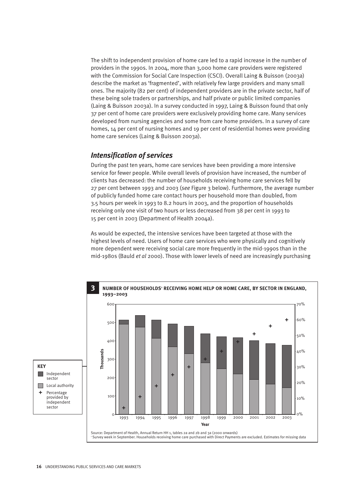The shift to independent provision of home care led to a rapid increase in the number of providers in the 1990s. In 2004, more than 3,000 home care providers were registered with the Commission for Social Care Inspection (CSCI). Overall Laing & Buisson (2003a) describe the market as 'fragmented', with relatively few large providers and many small ones. The majority (82 per cent) of independent providers are in the private sector, half of these being sole traders or partnerships, and half private or public limited companies (Laing & Buisson 2003a). In a survey conducted in 1997, Laing & Buisson found that only 37 per cent of home care providers were exclusively providing home care. Many services developed from nursing agencies and some from care home providers. In a survey of care homes, 14 per cent of nursing homes and 19 per cent of residential homes were providing home care services (Laing & Buisson 2003a).

#### *Intensification of services*

During the past ten years, home care services have been providing a more intensive service for fewer people. While overall levels of provision have increased, the number of clients has decreased: the number of households receiving home care services fell by 27 per cent between 1993 and 2003 (*see* Figure 3 below). Furthermore, the average number of publicly funded home care contact hours per household more than doubled, from 3.5 hours per week in 1993 to 8.2 hours in 2003, and the proportion of households receiving only one visit of two hours or less decreased from 38 per cent in 1993 to 15 per cent in 2003 (Department of Health 2004a).

As would be expected, the intensive services have been targeted at those with the highest levels of need. Users of home care services who were physically and cognitively more dependent were receiving social care more frequently in the mid-1990s than in the mid-1980s (Bauld *et al* 2000). Those with lower levels of need are increasingly purchasing

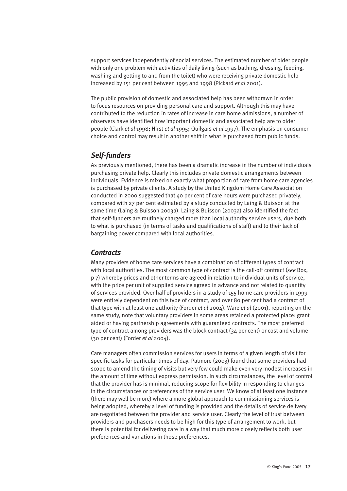support services independently of social services. The estimated number of older people with only one problem with activities of daily living (such as bathing, dressing, feeding, washing and getting to and from the toilet) who were receiving private domestic help increased by 151 per cent between 1995 and 1998 (Pickard *et al* 2001).

The public provision of domestic and associated help has been withdrawn in order to focus resources on providing personal care and support. Although this may have contributed to the reduction in rates of increase in care home admissions, a number of observers have identified how important domestic and associated help are to older people (Clark *et al* 1998; Hirst *et al* 1995; Quilgars *et al* 1997). The emphasis on consumer choice and control may result in another shift in what is purchased from public funds.

#### *Self-funders*

As previously mentioned, there has been a dramatic increase in the number of individuals purchasing private help. Clearly this includes private domestic arrangements between individuals. Evidence is mixed on exactly what proportion of care from home care agencies is purchased by private clients. A study by the United Kingdom Home Care Association conducted in 2000 suggested that  $40$  per cent of care hours were purchased privately, compared with 27 per cent estimated by a study conducted by Laing & Buisson at the same time (Laing & Buisson 2003a). Laing & Buisson (2003a) also identified the fact that self-funders are routinely charged more than local authority service users, due both to what is purchased (in terms of tasks and qualifications of staff) and to their lack of bargaining power compared with local authorities.

#### *Contracts*

Many providers of home care services have a combination of different types of contract with local authorities. The most common type of contract is the call-off contract (*see* Box, p 7) whereby prices and other terms are agreed in relation to individual units of service, with the price per unit of supplied service agreed in advance and not related to quantity of services provided. Over half of providers in a study of 155 home care providers in 1999 were entirely dependent on this type of contract, and over 80 per cent had a contract of that type with at least one authority (Forder *et al* 2004). Ware *et al* (2001), reporting on the same study, note that voluntary providers in some areas retained a protected place: grant aided or having partnership agreements with guaranteed contracts. The most preferred type of contract among providers was the block contract (34 per cent) or cost and volume (30 per cent) (Forder *et al* 2004).

Care managers often commission services for users in terms of a given length of visit for specific tasks for particular times of day. Patmore (2003) found that some providers had scope to amend the timing of visits but very few could make even very modest increases in the amount of time without express permission. In such circumstances, the level of control that the provider has is minimal, reducing scope for flexibility in responding to changes in the circumstances or preferences of the service user. We know of at least one instance (there may well be more) where a more global approach to commissioning services is being adopted, whereby a level of funding is provided and the details of service delivery are negotiated between the provider and service user. Clearly the level of trust between providers and purchasers needs to be high for this type of arrangement to work, but there is potential for delivering care in a way that much more closely reflects both user preferences and variations in those preferences.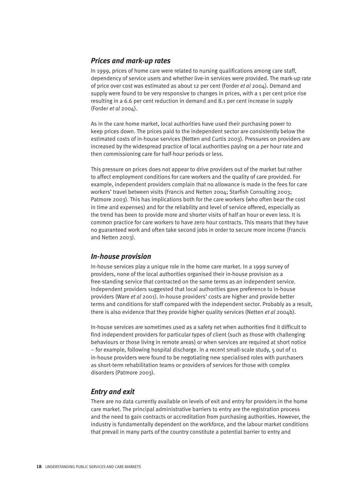#### *Prices and mark-up rates*

In 1999, prices of home care were related to nursing qualifications among care staff, dependency of service users and whether live-in services were provided. The mark-up rate of price over cost was estimated as about 12 per cent (Forder *et al* 2004). Demand and supply were found to be very responsive to changes in prices, with a 1 per cent price rise resulting in a 6.6 per cent reduction in demand and 8.1 per cent increase in supply (Forder *et al* 2004).

As in the care home market, local authorities have used their purchasing power to keep prices down. The prices paid to the independent sector are consistently below the estimated costs of in-house services (Netten and Curtis 2003). Pressures on providers are increased by the widespread practice of local authorities paying on a per hour rate and then commissioning care for half-hour periods or less.

This pressure on prices does not appear to drive providers out of the market but rather to affect employment conditions for care workers and the quality of care provided. For example, independent providers complain that no allowance is made in the fees for care workers' travel between visits (Francis and Netten 2004; Starfish Consulting 2003; Patmore 2003). This has implications both for the care workers (who often bear the cost in time and expenses) and for the reliability and level of service offered, especially as the trend has been to provide more and shorter visits of half an hour or even less. It is common practice for care workers to have zero hour contracts. This means that they have no guaranteed work and often take second jobs in order to secure more income (Francis and Netten 2003).

#### *In-house provision*

In-house services play a unique role in the home care market. In a 1999 survey of providers, none of the local authorities organised their in-house provision as a free-standing service that contracted on the same terms as an independent service. Independent providers suggested that local authorities gave preference to in-house providers (Ware *et al* 2001). In-house providers' costs are higher and provide better terms and conditions for staff compared with the independent sector. Probably as a result, there is also evidence that they provide higher quality services (Netten *et al* 2004b).

In-house services are sometimes used as a safety net when authorities find it difficult to find independent providers for particular types of client (such as those with challenging behaviours or those living in remote areas) or when services are required at short notice – for example, following hospital discharge. In a recent small-scale study, 5 out of 11 in-house providers were found to be negotiating new specialised roles with purchasers as short-term rehabilitation teams or providers of services for those with complex disorders (Patmore 2003).

### *Entry and exit*

There are no data currently available on levels of exit and entry for providers in the home care market. The principal administrative barriers to entry are the registration process and the need to gain contracts or accreditation from purchasing authorities. However, the industry is fundamentally dependent on the workforce, and the labour market conditions that prevail in many parts of the country constitute a potential barrier to entry and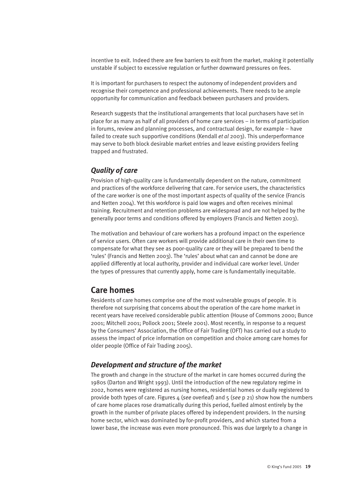incentive to exit. Indeed there are few barriers to exit from the market, making it potentially unstable if subject to excessive regulation or further downward pressures on fees.

It is important for purchasers to respect the autonomy of independent providers and recognise their competence and professional achievements. There needs to be ample opportunity for communication and feedback between purchasers and providers.

Research suggests that the institutional arrangements that local purchasers have set in place for as many as half of all providers of home care services – in terms of participation in forums, review and planning processes, and contractual design, for example – have failed to create such supportive conditions (Kendall *et al* 2003). This underperformance may serve to both block desirable market entries and leave existing providers feeling trapped and frustrated.

### *Quality of care*

Provision of high-quality care is fundamentally dependent on the nature, commitment and practices of the workforce delivering that care. For service users, the characteristics of the care worker is one of the most important aspects of quality of the service (Francis and Netten 2004). Yet this workforce is paid low wages and often receives minimal training. Recruitment and retention problems are widespread and are not helped by the generally poor terms and conditions offered by employers (Francis and Netten 2003).

The motivation and behaviour of care workers has a profound impact on the experience of service users. Often care workers will provide additional care in their own time to compensate for what they see as poor-quality care or they will be prepared to bend the 'rules' (Francis and Netten 2003). The 'rules' about what can and cannot be done are applied differently at local authority, provider and individual care worker level. Under the types of pressures that currently apply, home care is fundamentally inequitable.

# **Care homes**

Residents of care homes comprise one of the most vulnerable groups of people. It is therefore not surprising that concerns about the operation of the care home market in recent years have received considerable public attention (House of Commons 2000; Bunce 2001; Mitchell 2001; Pollock 2001; Steele 2001). Most recently, in response to a request by the Consumers' Association, the Office of Fair Trading (OFT) has carried out a study to assess the impact of price information on competition and choice among care homes for older people (Office of Fair Trading 2005).

#### *Development and structure of the market*

The growth and change in the structure of the market in care homes occurred during the 1980s (Darton and Wright 1993). Until the introduction of the new regulatory regime in 2002, homes were registered as nursing homes, residential homes or dually registered to provide both types of care. Figures 4 (*see* overleaf) and 5 (*see* p 21) show how the numbers of care home places rose dramatically during this period, fuelled almost entirely by the growth in the number of private places offered by independent providers. In the nursing home sector, which was dominated by for-profit providers, and which started from a lower base, the increase was even more pronounced. This was due largely to a change in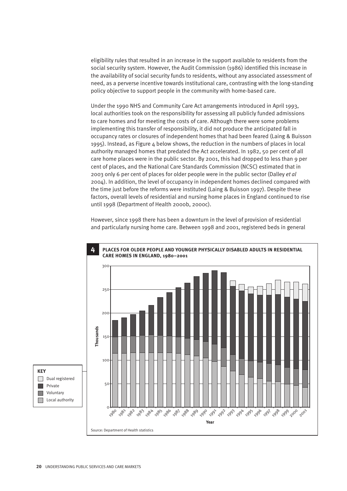eligibility rules that resulted in an increase in the support available to residents from the social security system. However, the Audit Commission (1986) identified this increase in the availability of social security funds to residents, without any associated assessment of need, as a perverse incentive towards institutional care, contrasting with the long-standing policy objective to support people in the community with home-based care.

Under the 1990 NHS and Community Care Act arrangements introduced in April 1993, local authorities took on the responsibility for assessing all publicly funded admissions to care homes and for meeting the costs of care. Although there were some problems implementing this transfer of responsibility, it did not produce the anticipated fall in occupancy rates or closures of independent homes that had been feared (Laing & Buisson 1995). Instead, as Figure 4 below shows, the reduction in the numbers of places in local authority managed homes that predated the Act accelerated. In 1982, 50 per cent of all care home places were in the public sector. By 2001, this had dropped to less than 9 per cent of places, and the National Care Standards Commission (NCSC) estimated that in 2003 only 6 per cent of places for older people were in the public sector (Dalley *et al* 2004). In addition, the level of occupancy in independent homes declined compared with the time just before the reforms were instituted (Laing & Buisson 1997). Despite these factors, overall levels of residential and nursing home places in England continued to rise until 1998 (Department of Health 2000b, 2000c).

However, since 1998 there has been a downturn in the level of provision of residential and particularly nursing home care. Between 1998 and 2001, registered beds in general

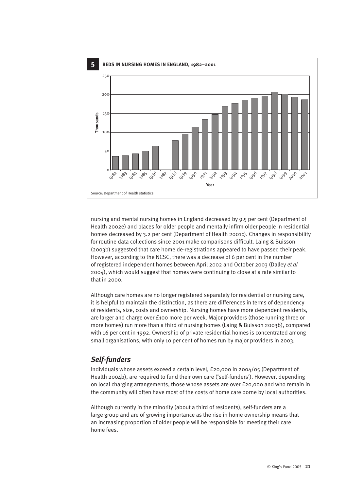

nursing and mental nursing homes in England decreased by 9.5 per cent (Department of Health 2002e) and places for older people and mentally infirm older people in residential homes decreased by 3.2 per cent (Department of Health 2001c). Changes in responsibility for routine data collections since 2001 make comparisons difficult. Laing & Buisson (2003b) suggested that care home de-registrations appeared to have passed their peak. However, according to the NCSC, there was a decrease of 6 per cent in the number of registered independent homes between April 2002 and October 2003 (Dalley *et al* 2004), which would suggest that homes were continuing to close at a rate similar to that in 2000.

Although care homes are no longer registered separately for residential or nursing care, it is helpful to maintain the distinction, as there are differences in terms of dependency of residents, size, costs and ownership. Nursing homes have more dependent residents, are larger and charge over £100 more per week. Major providers (those running three or more homes) run more than a third of nursing homes (Laing & Buisson 2003b), compared with 16 per cent in 1992. Ownership of private residential homes is concentrated among small organisations, with only 10 per cent of homes run by major providers in 2003.

# *Self-funders*

Individuals whose assets exceed a certain level, £20,000 in 2004/05 (Department of Health 2004b), are required to fund their own care ('self-funders'). However, depending on local charging arrangements, those whose assets are over £20,000 and who remain in the community will often have most of the costs of home care borne by local authorities.

Although currently in the minority (about a third of residents), self-funders are a large group and are of growing importance as the rise in home ownership means that an increasing proportion of older people will be responsible for meeting their care home fees.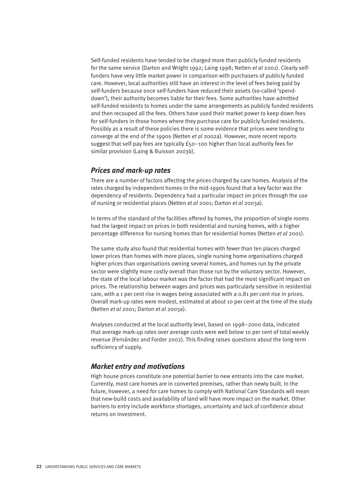Self-funded residents have tended to be charged more than publicly funded residents for the same service (Darton and Wright 1992; Laing 1998; Netten *et al* 2001). Clearly selffunders have very little market power in comparison with purchasers of publicly funded care. However, local authorities still have an interest in the level of fees being paid by self-funders because once self-funders have reduced their assets (so-called 'spenddown'), their authority becomes liable for their fees. Some authorities have admitted self-funded residents to homes under the same arrangements as publicly funded residents and then recouped all the fees. Others have used their market power to keep down fees for self-funders in those homes where they purchase care for publicly funded residents. Possibly as a result of these policies there is some evidence that prices were tending to converge at the end of the 1990s (Netten *et al* 2002a). However, more recent reports suggest that self-pay fees are typically £50–100 higher than local authority fees for similar provision (Laing & Buisson 2003b).

#### *Prices and mark-up rates*

There are a number of factors affecting the prices charged by care homes. Analysis of the rates charged by independent homes in the mid-1990s found that a key factor was the dependency of residents. Dependency had a particular impact on prices through the use of nursing or residential places (Netten *et al* 2001; Darton *et al* 2003a).

In terms of the standard of the facilities offered by homes, the proportion of single rooms had the largest impact on prices in both residential and nursing homes, with a higher percentage difference for nursing homes than for residential homes (Netten *et al* 2001).

The same study also found that residential homes with fewer than ten places charged lower prices than homes with more places, single nursing home organisations charged higher prices than organisations owning several homes, and homes run by the private sector were slightly more costly overall than those run by the voluntary sector. However, the state of the local labour market was the factor that had the most significant impact on prices. The relationship between wages and prices was particularly sensitive in residential care, with a 1 per cent rise in wages being associated with a 0.81 per cent rise in prices. Overall mark-up rates were modest, estimated at about 10 per cent at the time of the study (Netten *et al* 2001; Darton *et al* 2003a).

Analyses conducted at the local authority level, based on 1998–2000 data, indicated that average mark-up rates over average costs were well below 10 per cent of total weekly revenue (Fernández and Forder 2002). This finding raises questions about the long-term sufficiency of supply.

#### *Market entry and motivations*

High house prices constitute one potential barrier to new entrants into the care market. Currently, most care homes are in converted premises, rather than newly built. In the future, however, a need for care homes to comply with National Care Standards will mean that new-build costs and availability of land will have more impact on the market. Other barriers to entry include workforce shortages, uncertainty and lack of confidence about returns on investment.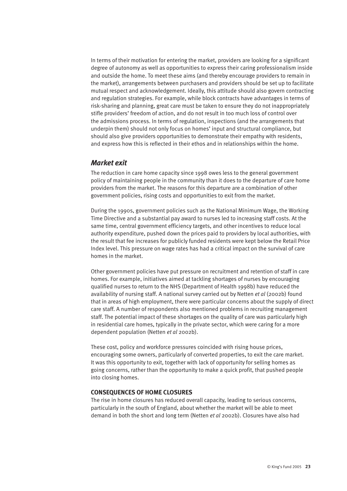In terms of their motivation for entering the market, providers are looking for a significant degree of autonomy as well as opportunities to express their caring professionalism inside and outside the home. To meet these aims (and thereby encourage providers to remain in the market), arrangements between purchasers and providers should be set up to facilitate mutual respect and acknowledgement. Ideally, this attitude should also govern contracting and regulation strategies. For example, while block contracts have advantages in terms of risk-sharing and planning, great care must be taken to ensure they do not inappropriately stifle providers' freedom of action, and do not result in too much loss of control over the admissions process. In terms of regulation, inspections (and the arrangements that underpin them) should not only focus on homes' input and structural compliance, but should also give providers opportunities to demonstrate their empathy with residents, and express how this is reflected in their ethos and in relationships within the home.

#### *Market exit*

The reduction in care home capacity since 1998 owes less to the general government policy of maintaining people in the community than it does to the departure of care home providers from the market. The reasons for this departure are a combination of other government policies, rising costs and opportunities to exit from the market.

During the 1990s, government policies such as the National Minimum Wage, the Working Time Directive and a substantial pay award to nurses led to increasing staff costs. At the same time, central government efficiency targets, and other incentives to reduce local authority expenditure, pushed down the prices paid to providers by local authorities, with the result that fee increases for publicly funded residents were kept below the Retail Price Index level. This pressure on wage rates has had a critical impact on the survival of care homes in the market.

Other government policies have put pressure on recruitment and retention of staff in care homes. For example, initiatives aimed at tackling shortages of nurses by encouraging qualified nurses to return to the NHS (Department of Health 1998b) have reduced the availability of nursing staff. A national survey carried out by Netten *et al* (2002b) found that in areas of high employment, there were particular concerns about the supply of direct care staff. A number of respondents also mentioned problems in recruiting management staff. The potential impact of these shortages on the quality of care was particularly high in residential care homes, typically in the private sector, which were caring for a more dependent population (Netten *et al* 2002b).

These cost, policy and workforce pressures coincided with rising house prices, encouraging some owners, particularly of converted properties, to exit the care market. It was this opportunity to exit, together with lack of opportunity for selling homes as going concerns, rather than the opportunity to make a quick profit, that pushed people into closing homes.

#### **CONSEQUENCES OF HOME CLOSURES**

The rise in home closures has reduced overall capacity, leading to serious concerns, particularly in the south of England, about whether the market will be able to meet demand in both the short and long term (Netten *et al* 2002b). Closures have also had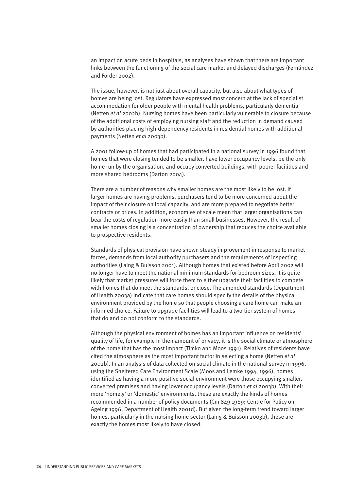an impact on acute beds in hospitals, as analyses have shown that there are important links between the functioning of the social care market and delayed discharges (Fernández and Forder 2002).

The issue, however, is not just about overall capacity, but also about what types of homes are being lost. Regulators have expressed most concern at the lack of specialist accommodation for older people with mental health problems, particularly dementia (Netten *et al* 2002b). Nursing homes have been particularly vulnerable to closure because of the additional costs of employing nursing staff and the reduction in demand caused by authorities placing high-dependency residents in residential homes with additional payments (Netten *et al* 2003b).

A 2001 follow-up of homes that had participated in a national survey in 1996 found that homes that were closing tended to be smaller, have lower occupancy levels, be the only home run by the organisation, and occupy converted buildings, with poorer facilities and more shared bedrooms (Darton 2004).

There are a number of reasons why smaller homes are the most likely to be lost. If larger homes are having problems, purchasers tend to be more concerned about the impact of their closure on local capacity, and are more prepared to negotiate better contracts or prices. In addition, economies of scale mean that larger organisations can bear the costs of regulation more easily than small businesses. However, the result of smaller homes closing is a concentration of ownership that reduces the choice available to prospective residents.

Standards of physical provision have shown steady improvement in response to market forces, demands from local authority purchasers and the requirements of inspecting authorities (Laing & Buisson 2001). Although homes that existed before April 2002 will no longer have to meet the national minimum standards for bedroom sizes, it is quite likely that market pressures will force them to either upgrade their facilities to compete with homes that do meet the standards, or close. The amended standards (Department of Health 2003a) indicate that care homes should specify the details of the physical environment provided by the home so that people choosing a care home can make an informed choice. Failure to upgrade facilities will lead to a two-tier system of homes that do and do not conform to the standards.

Although the physical environment of homes has an important influence on residents' quality of life, for example in their amount of privacy, it is the social climate or atmosphere of the home that has the most impact (Timko and Moos 1991). Relatives of residents have cited the atmosphere as the most important factor in selecting a home (Netten *et al* 2002b). In an analysis of data collected on social climate in the national survey in 1996, using the Sheltered Care Environment Scale (Moos and Lemke 1994, 1996), homes identified as having a more positive social environment were those occupying smaller, converted premises and having lower occupancy levels (Darton *et al* 2003b). With their more 'homely' or 'domestic' environments, these are exactly the kinds of homes recommended in a number of policy documents (Cm 849 1989; Centre for Policy on Ageing 1996; Department of Health 2001d). But given the long-term trend toward larger homes, particularly in the nursing home sector (Laing & Buisson 2003b), these are exactly the homes most likely to have closed.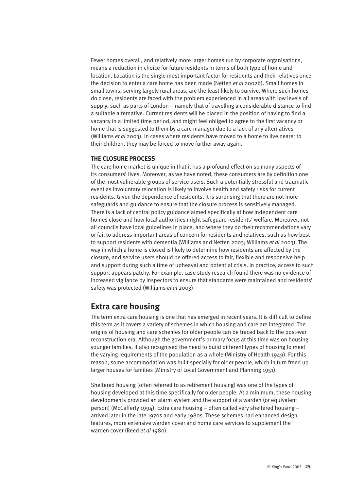Fewer homes overall, and relatively more larger homes run by corporate organisations, means a reduction in choice for future residents in terms of both type of home and location. Location is the single most important factor for residents and their relatives once the decision to enter a care home has been made (Netten *et al* 2002b). Small homes in small towns, serving largely rural areas, are the least likely to survive. Where such homes do close, residents are faced with the problem experienced in all areas with low levels of supply, such as parts of London – namely that of travelling a considerable distance to find a suitable alternative. Current residents will be placed in the position of having to find a vacancy in a limited time period, and might feel obliged to agree to the first vacancy or home that is suggested to them by a care manager due to a lack of any alternatives (Williams *et al* 2003). In cases where residents have moved to a home to live nearer to their children, they may be forced to move further away again.

#### **THE CLOSURE PROCESS**

The care home market is unique in that it has a profound effect on so many aspects of its consumers' lives. Moreover, as we have noted, these consumers are by definition one of the most vulnerable groups of service users. Such a potentially stressful and traumatic event as involuntary relocation is likely to involve health and safety risks for current residents. Given the dependence of residents, it is surprising that there are not more safeguards and guidance to ensure that the closure process is sensitively managed. There is a lack of central policy guidance aimed specifically at how independent care homes close and how local authorities might safeguard residents' welfare. Moreover, not all councils have local guidelines in place, and where they do their recommendations vary or fail to address important areas of concern for residents and relatives, such as how best to support residents with dementia (Williams and Netten 2003; Williams *et al* 2003). The way in which a home is closed is likely to determine how residents are affected by the closure, and service users should be offered access to fair, flexible and responsive help and support during such a time of upheaval and potential crisis. In practice, access to such support appears patchy. For example, case study research found there was no evidence of increased vigilance by inspectors to ensure that standards were maintained and residents' safety was protected (Williams *et al* 2003).

# **Extra care housing**

The term extra care housing is one that has emerged in recent years. It is difficult to define this term as it covers a variety of schemes in which housing and care are integrated. The origins of housing and care schemes for older people can be traced back to the post-war reconstruction era. Although the government's primary focus at this time was on housing younger families, it also recognised the need to build different types of housing to meet the varying requirements of the population as a whole (Ministry of Health 1949). For this reason, some accommodation was built specially for older people, which in turn freed up larger houses for families (Ministry of Local Government and Planning 1951).

Sheltered housing (often referred to as retirement housing) was one of the types of housing developed at this time specifically for older people. At a minimum, these housing developments provided an alarm system and the support of a warden (or equivalent person) (McCafferty 1994). Extra care housing – often called very sheltered housing – arrived later in the late 1970s and early 1980s. These schemes had enhanced design features, more extensive warden cover and home care services to supplement the warden cover (Reed *et al* 1980).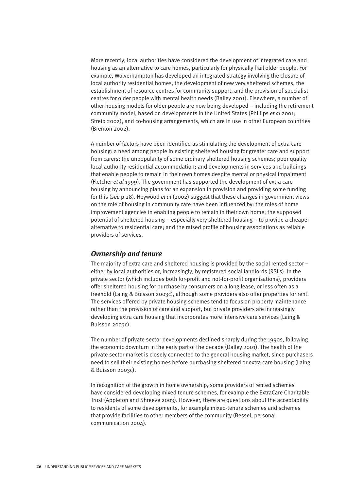More recently, local authorities have considered the development of integrated care and housing as an alternative to care homes, particularly for physically frail older people. For example, Wolverhampton has developed an integrated strategy involving the closure of local authority residential homes, the development of new very sheltered schemes, the establishment of resource centres for community support, and the provision of specialist centres for older people with mental health needs (Bailey 2001). Elsewhere, a number of other housing models for older people are now being developed – including the retirement community model, based on developments in the United States (Phillips *et al* 2001; Streib 2002), and co-housing arrangements, which are in use in other European countries (Brenton 2002).

A number of factors have been identified as stimulating the development of extra care housing: a need among people in existing sheltered housing for greater care and support from carers; the unpopularity of some ordinary sheltered housing schemes; poor quality local authority residential accommodation; and developments in services and buildings that enable people to remain in their own homes despite mental or physical impairment (Fletcher *et al* 1999). The government has supported the development of extra care housing by announcing plans for an expansion in provision and providing some funding for this (*see* p 28). Heywood *et al* (2002) suggest that these changes in government views on the role of housing in community care have been influenced by: the roles of home improvement agencies in enabling people to remain in their own home; the supposed potential of sheltered housing – especially very sheltered housing – to provide a cheaper alternative to residential care; and the raised profile of housing associations as reliable providers of services.

#### *Ownership and tenure*

The majority of extra care and sheltered housing is provided by the social rented sector – either by local authorities or, increasingly, by registered social landlords (RSLs). In the private sector (which includes both for-profit and not-for-profit organisations), providers offer sheltered housing for purchase by consumers on a long lease, or less often as a freehold (Laing & Buisson 2003c), although some providers also offer properties for rent. The services offered by private housing schemes tend to focus on property maintenance rather than the provision of care and support, but private providers are increasingly developing extra care housing that incorporates more intensive care services (Laing & Buisson 2003c).

The number of private sector developments declined sharply during the 1990s, following the economic downturn in the early part of the decade (Dalley 2001). The health of the private sector market is closely connected to the general housing market, since purchasers need to sell their existing homes before purchasing sheltered or extra care housing (Laing & Buisson 2003c).

In recognition of the growth in home ownership, some providers of rented schemes have considered developing mixed tenure schemes, for example the ExtraCare Charitable Trust (Appleton and Shreeve 2003). However, there are questions about the acceptability to residents of some developments, for example mixed-tenure schemes and schemes that provide facilities to other members of the community (Bessel, personal communication 2004).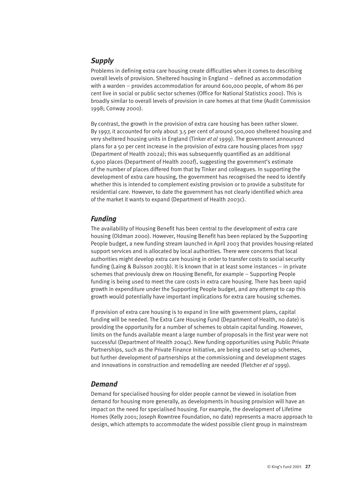# *Supply*

Problems in defining extra care housing create difficulties when it comes to describing overall levels of provision. Sheltered housing in England – defined as accommodation with a warden – provides accommodation for around 600,000 people, of whom 86 per cent live in social or public sector schemes (Office for National Statistics 2000). This is broadly similar to overall levels of provision in care homes at that time (Audit Commission 1998; Conway 2000).

By contrast, the growth in the provision of extra care housing has been rather slower. By 1997, it accounted for only about 3.5 per cent of around 500,000 sheltered housing and very sheltered housing units in England (Tinker *et al* 1999). The government announced plans for a 50 per cent increase in the provision of extra care housing places from 1997 (Department of Health 2002a); this was subsequently quantified as an additional 6,900 places (Department of Health 2002f), suggesting the government's estimate of the number of places differed from that by Tinker and colleagues. In supporting the development of extra care housing, the government has recognised the need to identify whether this is intended to complement existing provision or to provide a substitute for residential care. However, to date the government has not clearly identified which area of the market it wants to expand (Department of Health 2003c).

#### *Funding*

The availability of Housing Benefit has been central to the development of extra care housing (Oldman 2000). However, Housing Benefit has been replaced by the Supporting People budget, a new funding stream launched in April 2003 that provides housing-related support services and is allocated by local authorities. There were concerns that local authorities might develop extra care housing in order to transfer costs to social security funding (Laing & Buisson 2003b). It is known that in at least some instances – in private schemes that previously drew on Housing Benefit, for example – Supporting People funding is being used to meet the care costs in extra care housing. There has been rapid growth in expenditure under the Supporting People budget, and any attempt to cap this growth would potentially have important implications for extra care housing schemes.

If provision of extra care housing is to expand in line with government plans, capital funding will be needed. The Extra Care Housing Fund (Department of Health, no date) is providing the opportunity for a number of schemes to obtain capital funding. However, limits on the funds available meant a large number of proposals in the first year were not successful (Department of Health 2004c). New funding opportunities using Public Private Partnerships, such as the Private Finance Initiative, are being used to set up schemes, but further development of partnerships at the commissioning and development stages and innovations in construction and remodelling are needed (Fletcher *et al* 1999).

### *Demand*

Demand for specialised housing for older people cannot be viewed in isolation from demand for housing more generally, as developments in housing provision will have an impact on the need for specialised housing. For example, the development of Lifetime Homes (Kelly 2001; Joseph Rowntree Foundation, no date) represents a macro approach to design, which attempts to accommodate the widest possible client group in mainstream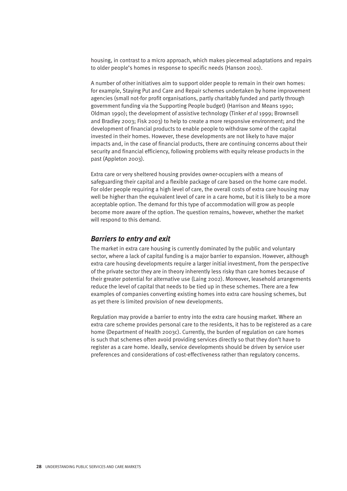housing, in contrast to a micro approach, which makes piecemeal adaptations and repairs to older people's homes in response to specific needs (Hanson 2001).

A number of other initiatives aim to support older people to remain in their own homes: for example, Staying Put and Care and Repair schemes undertaken by home improvement agencies (small not-for profit organisations, partly charitably funded and partly through government funding via the Supporting People budget) (Harrison and Means 1990; Oldman 1990); the development of assistive technology (Tinker *et al* 1999; Brownsell and Bradley 2003; Fisk 2003) to help to create a more responsive environment; and the development of financial products to enable people to withdraw some of the capital invested in their homes. However, these developments are not likely to have major impacts and, in the case of financial products, there are continuing concerns about their security and financial efficiency, following problems with equity release products in the past (Appleton 2003).

Extra care or very sheltered housing provides owner-occupiers with a means of safeguarding their capital and a flexible package of care based on the home care model. For older people requiring a high level of care, the overall costs of extra care housing may well be higher than the equivalent level of care in a care home, but it is likely to be a more acceptable option. The demand for this type of accommodation will grow as people become more aware of the option. The question remains, however, whether the market will respond to this demand.

#### *Barriers to entry and exit*

The market in extra care housing is currently dominated by the public and voluntary sector, where a lack of capital funding is a major barrier to expansion. However, although extra care housing developments require a larger initial investment, from the perspective of the private sector they are in theory inherently less risky than care homes because of their greater potential for alternative use (Laing 2002). Moreover, leasehold arrangements reduce the level of capital that needs to be tied up in these schemes. There are a few examples of companies converting existing homes into extra care housing schemes, but as yet there is limited provision of new developments.

Regulation may provide a barrier to entry into the extra care housing market. Where an extra care scheme provides personal care to the residents, it has to be registered as a care home (Department of Health 2003c). Currently, the burden of regulation on care homes is such that schemes often avoid providing services directly so that they don't have to register as a care home. Ideally, service developments should be driven by service user preferences and considerations of cost-effectiveness rather than regulatory concerns.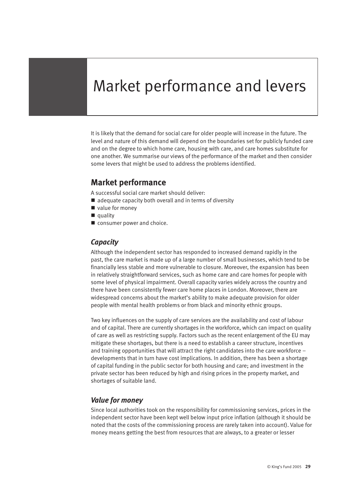# Market performance and levers

It is likely that the demand for social care for older people will increase in the future. The level and nature of this demand will depend on the boundaries set for publicly funded care and on the degree to which home care, housing with care, and care homes substitute for one another. We summarise our views of the performance of the market and then consider some levers that might be used to address the problems identified.

# **Market performance**

A successful social care market should deliver:

- $\blacksquare$  adequate capacity both overall and in terms of diversity
- $\blacksquare$  value for money
- $\blacksquare$  quality
- $\blacksquare$  consumer power and choice.

### *Capacity*

Although the independent sector has responded to increased demand rapidly in the past, the care market is made up of a large number of small businesses, which tend to be financially less stable and more vulnerable to closure. Moreover, the expansion has been in relatively straightforward services, such as home care and care homes for people with some level of physical impairment. Overall capacity varies widely across the country and there have been consistently fewer care home places in London. Moreover, there are widespread concerns about the market's ability to make adequate provision for older people with mental health problems or from black and minority ethnic groups.

Two key influences on the supply of care services are the availability and cost of labour and of capital. There are currently shortages in the workforce, which can impact on quality of care as well as restricting supply. Factors such as the recent enlargement of the EU may mitigate these shortages, but there is a need to establish a career structure, incentives and training opportunities that will attract the right candidates into the care workforce – developments that in turn have cost implications. In addition, there has been a shortage of capital funding in the public sector for both housing and care; and investment in the private sector has been reduced by high and rising prices in the property market, and shortages of suitable land.

#### *Value for money*

Since local authorities took on the responsibility for commissioning services, prices in the independent sector have been kept well below input price inflation (although it should be noted that the costs of the commissioning process are rarely taken into account). Value for money means getting the best from resources that are always, to a greater or lesser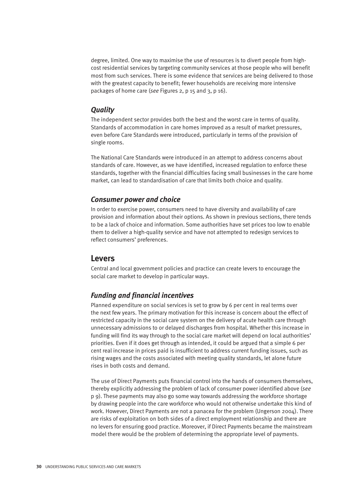degree, limited. One way to maximise the use of resources is to divert people from highcost residential services by targeting community services at those people who will benefit most from such services. There is some evidence that services are being delivered to those with the greatest capacity to benefit; fewer households are receiving more intensive packages of home care (*see* Figures 2, p 15 and 3, p 16).

#### *Quality*

The independent sector provides both the best and the worst care in terms of quality. Standards of accommodation in care homes improved as a result of market pressures, even before Care Standards were introduced, particularly in terms of the provision of single rooms.

The National Care Standards were introduced in an attempt to address concerns about standards of care. However, as we have identified, increased regulation to enforce these standards, together with the financial difficulties facing small businesses in the care home market, can lead to standardisation of care that limits both choice and quality.

#### *Consumer power and choice*

In order to exercise power, consumers need to have diversity and availability of care provision and information about their options. As shown in previous sections, there tends to be a lack of choice and information. Some authorities have set prices too low to enable them to deliver a high-quality service and have not attempted to redesign services to reflect consumers' preferences.

### **Levers**

Central and local government policies and practice can create levers to encourage the social care market to develop in particular ways.

#### *Funding and financial incentives*

Planned expenditure on social services is set to grow by 6 per cent in real terms over the next few years. The primary motivation for this increase is concern about the effect of restricted capacity in the social care system on the delivery of acute health care through unnecessary admissions to or delayed discharges from hospital. Whether this increase in funding will find its way through to the social care market will depend on local authorities' priorities. Even if it does get through as intended, it could be argued that a simple 6 per cent real increase in prices paid is insufficient to address current funding issues, such as rising wages and the costs associated with meeting quality standards, let alone future rises in both costs and demand.

The use of Direct Payments puts financial control into the hands of consumers themselves, thereby explicitly addressing the problem of lack of consumer power identified above (*see* p 9). These payments may also go some way towards addressing the workforce shortage by drawing people into the care workforce who would not otherwise undertake this kind of work. However, Direct Payments are not a panacea for the problem (Ungerson 2004). There are risks of exploitation on both sides of a direct employment relationship and there are no levers for ensuring good practice. Moreover, if Direct Payments became the mainstream model there would be the problem of determining the appropriate level of payments.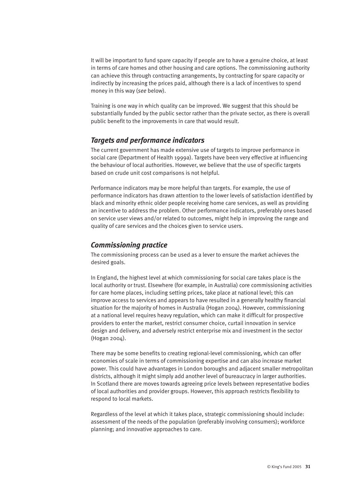It will be important to fund spare capacity if people are to have a genuine choice, at least in terms of care homes and other housing and care options. The commissioning authority can achieve this through contracting arrangements, by contracting for spare capacity or indirectly by increasing the prices paid, although there is a lack of incentives to spend money in this way (*see* below).

Training is one way in which quality can be improved. We suggest that this should be substantially funded by the public sector rather than the private sector, as there is overall public benefit to the improvements in care that would result.

#### *Targets and performance indicators*

The current government has made extensive use of targets to improve performance in social care (Department of Health 1999a). Targets have been very effective at influencing the behaviour of local authorities. However, we believe that the use of specific targets based on crude unit cost comparisons is not helpful.

Performance indicators may be more helpful than targets. For example, the use of performance indicators has drawn attention to the lower levels of satisfaction identified by black and minority ethnic older people receiving home care services, as well as providing an incentive to address the problem. Other performance indicators, preferably ones based on service user views and/or related to outcomes, might help in improving the range and quality of care services and the choices given to service users.

#### *Commissioning practice*

The commissioning process can be used as a lever to ensure the market achieves the desired goals.

In England, the highest level at which commissioning for social care takes place is the local authority or trust. Elsewhere (for example, in Australia) core commissioning activities for care home places, including setting prices, take place at national level; this can improve access to services and appears to have resulted in a generally healthy financial situation for the majority of homes in Australia (Hogan 2004). However, commissioning at a national level requires heavy regulation, which can make it difficult for prospective providers to enter the market, restrict consumer choice, curtail innovation in service design and delivery, and adversely restrict enterprise mix and investment in the sector (Hogan 2004).

There may be some benefits to creating regional-level commissioning, which can offer economies of scale in terms of commissioning expertise and can also increase market power. This could have advantages in London boroughs and adjacent smaller metropolitan districts, although it might simply add another level of bureaucracy in larger authorities. In Scotland there are moves towards agreeing price levels between representative bodies of local authorities and provider groups. However, this approach restricts flexibility to respond to local markets.

Regardless of the level at which it takes place, strategic commissioning should include: assessment of the needs of the population (preferably involving consumers); workforce planning; and innovative approaches to care.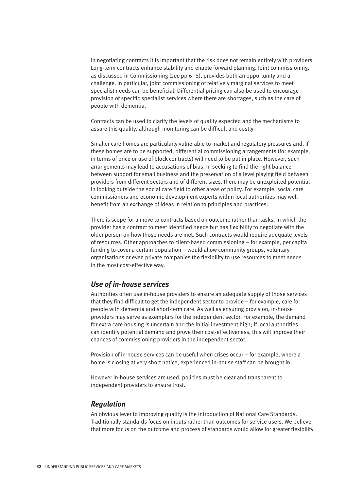In negotiating contracts it is important that the risk does not remain entirely with providers. Long-term contracts enhance stability and enable forward planning. Joint commissioning, as discussed in Commissioning (*see* pp 6–8), provides both an opportunity and a challenge. In particular, joint commissioning of relatively marginal services to meet specialist needs can be beneficial. Differential pricing can also be used to encourage provision of specific specialist services where there are shortages, such as the care of people with dementia.

Contracts can be used to clarify the levels of quality expected and the mechanisms to assure this quality, although monitoring can be difficult and costly.

Smaller care homes are particularly vulnerable to market and regulatory pressures and, if these homes are to be supported, differential commissioning arrangements (for example, in terms of price or use of block contracts) will need to be put in place. However, such arrangements may lead to accusations of bias. In seeking to find the right balance between support for small business and the preservation of a level playing field between providers from different sectors and of different sizes, there may be unexploited potential in looking outside the social care field to other areas of policy. For example, social care commissioners and economic development experts within local authorities may well benefit from an exchange of ideas in relation to principles and practices.

There is scope for a move to contracts based on outcome rather than tasks, in which the provider has a contract to meet identified needs but has flexibility to negotiate with the older person on how those needs are met. Such contracts would require adequate levels of resources. Other approaches to client-based commissioning – for example, per capita funding to cover a certain population – would allow community groups, voluntary organisations or even private companies the flexibility to use resources to meet needs in the most cost-effective way.

#### *Use of in-house services*

Authorities often use in-house providers to ensure an adequate supply of those services that they find difficult to get the independent sector to provide – for example, care for people with dementia and short-term care. As well as ensuring provision, in-house providers may serve as exemplars for the independent sector. For example, the demand for extra care housing is uncertain and the initial investment high; if local authorities can identify potential demand and prove their cost-effectiveness, this will improve their chances of commissioning providers in the independent sector.

Provision of in-house services can be useful when crises occur – for example, where a home is closing at very short notice, experienced in-house staff can be brought in.

However in-house services are used, policies must be clear and transparent to independent providers to ensure trust.

#### *Regulation*

An obvious lever to improving quality is the introduction of National Care Standards. Traditionally standards focus on inputs rather than outcomes for service users. We believe that more focus on the outcome and process of standards would allow for greater flexibility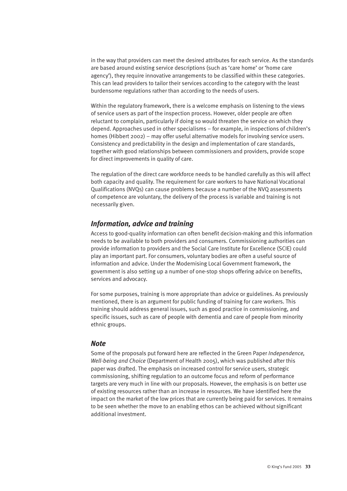in the way that providers can meet the desired attributes for each service. As the standards are based around existing service descriptions (such as 'care home' or 'home care agency'), they require innovative arrangements to be classified within these categories. This can lead providers to tailor their services according to the category with the least burdensome regulations rather than according to the needs of users.

Within the regulatory framework, there is a welcome emphasis on listening to the views of service users as part of the inspection process. However, older people are often reluctant to complain, particularly if doing so would threaten the service on which they depend. Approaches used in other specialisms – for example, in inspections of children's homes (Hibbert 2002) – may offer useful alternative models for involving service users. Consistency and predictability in the design and implementation of care standards, together with good relationships between commissioners and providers, provide scope for direct improvements in quality of care.

The regulation of the direct care workforce needs to be handled carefully as this will affect both capacity and quality. The requirement for care workers to have National Vocational Qualifications (NVQs) can cause problems because a number of the NVQ assessments of competence are voluntary, the delivery of the process is variable and training is not necessarily given.

#### *Information, advice and training*

Access to good-quality information can often benefit decision-making and this information needs to be available to both providers and consumers. Commissioning authorities can provide information to providers and the Social Care Institute for Excellence (SCIE) could play an important part. For consumers, voluntary bodies are often a useful source of information and advice. Under the Modernising Local Government framework, the government is also setting up a number of one-stop shops offering advice on benefits, services and advocacy.

For some purposes, training is more appropriate than advice or guidelines. As previously mentioned, there is an argument for public funding of training for care workers. This training should address general issues, such as good practice in commissioning, and specific issues, such as care of people with dementia and care of people from minority ethnic groups.

#### *Note*

Some of the proposals put forward here are reflected in the Green Paper *Independence, Well-being and Choice* (Department of Health 2005), which was published after this paper was drafted. The emphasis on increased control for service users, strategic commissioning, shifting regulation to an outcome focus and reform of performance targets are very much in line with our proposals. However, the emphasis is on better use of existing resources rather than an increase in resources. We have identified here the impact on the market of the low prices that are currently being paid for services. It remains to be seen whether the move to an enabling ethos can be achieved without significant additional investment.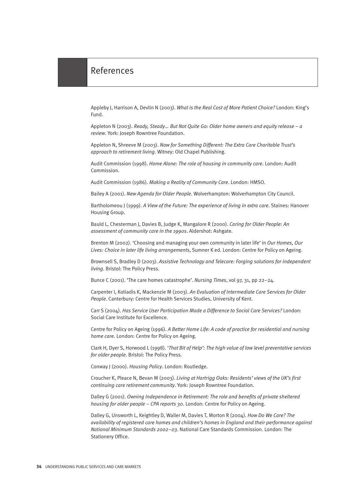Appleby J, Harrison A, Devlin N (2003). *What is the Real Cost of More Patient Choice?* London: King's Fund.

Appleton N (2003). *Ready, Steady… But Not Quite Go: Older home owners and equity release – a review*. York: Joseph Rowntree Foundation.

Appleton N, Shreeve M (2003). *Now for Something Different: The Extra Care Charitable Trust's approach to retirement living*. Witney: Old Chapel Publishing.

Audit Commission (1998). *Home Alone: The role of housing in community care*. London: Audit Commission.

Audit Commission (1986). *Making a Reality of Community Care*. London: HMSO.

Bailey A (2001). *New Agenda for Older People*. Wolverhampton: Wolverhampton City Council.

Bartholomeou J (1999). *A View of the Future: The experience of living in extra care*. Staines: Hanover Housing Group.

Bauld L, Chesterman J, Davies B, Judge K, Mangalore R (2000). *Caring for Older People: An assessment of community care in the 1990s*. Aldershot: Ashgate.

Brenton M (2002). 'Choosing and managing your own community in later life' in *Our Homes, Our Lives: Choice in later life living arrangements*, Sumner K ed. London: Centre for Policy on Ageing.

Brownsell S, Bradley D (2003). *Assistive Technology and Telecare: Forging solutions for independent living*. Bristol: The Policy Press.

Bunce C (2001). 'The care homes catastrophe'. *Nursing Times*, vol 97, 31, pp 22–24.

Carpenter I, Kotiadis K, Mackenzie M (2003). *An Evaluation of Intermediate Care Services for Older People*. Canterbury: Centre for Health Services Studies, University of Kent.

Carr S (2004). *Has Service User Participation Made a Difference to Social Care Services?* London: Social Care Institute for Excellence.

Centre for Policy on Ageing (1996). *A Better Home Life: A code of practice for residential and nursing home care*. London: Centre for Policy on Ageing.

Clark H, Dyer S, Horwood L (1998). '*That Bit of Help': The high value of low level preventative services for older people*. Bristol: The Policy Press.

Conway J (2000). *Housing Policy*. London: Routledge.

Croucher K, Pleace N, Bevan M (2003). *Living at Hartrigg Oaks: Residents' views of the UK's first continuing care retirement community*. York: Joseph Rowntree Foundation.

Dalley G (2001). *Owning Independence in Retirement: The role and benefits of private sheltered housing for older people – CPA reports 30*. London: Centre for Policy on Ageing.

Dalley G, Unsworth L, Keightley D, Waller M, Davies T, Morton R (2004). *How Do We Care? The availability of registered care homes and children's homes in England and their performance against National Minimum Standards 2002–03*. National Care Standards Commission. London: The Stationery Office.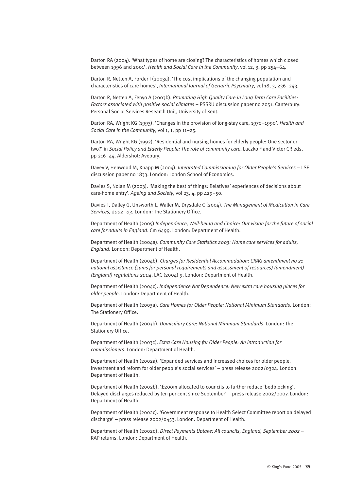Darton RA (2004). 'What types of home are closing? The characteristics of homes which closed between 1996 and 2001'. *Health and Social Care in the Community*, vol 12, 3, pp 254–64.

Darton R, Netten A, Forder J (2003a). 'The cost implications of the changing population and characteristics of care homes', *International Journal of Geriatric Psychiatry*, vol 18, 3, 236–243.

Darton R, Netten A, Fenyo A (2003b). *Promoting High Quality Care in Long Term Care Facilities: Factors associated with positive social climates* – PSSRU discussion paper no 2051. Canterbury: Personal Social Services Research Unit, University of Kent.

Darton RA, Wright KG (1993). 'Changes in the provision of long-stay care, 1970–1990'. *Health and Social Care in the Community*, vol 1, 1, pp 11–25.

Darton RA, Wright KG (1992). 'Residential and nursing homes for elderly people: One sector or two?' in *Social Policy and Elderly People: The role of community care*, Laczko F and Victor CR eds, pp 216–44. Aldershot: Avebury.

Davey V, Henwood M, Knapp M (2004). *Integrated Commissioning for Older People's Services* – LSE discussion paper no 1833. London: London School of Economics.

Davies S, Nolan M (2003). 'Making the best of things: Relatives' experiences of decisions about care-home entry'. *Ageing and Society*, vol 23, 4, pp 429–50.

Davies T, Dalley G, Unsworth L, Waller M, Drysdale C (2004). *The Management of Medication in Care Services, 2002–03*. London: The Stationery Office.

Department of Health (2005) *Independence, Well-being and Choice: Our vision for the future of social care for adults in England*. Cm 6499. London: Department of Health.

Department of Health (2004a). *Community Care Statistics 2003: Home care services for adults, England*. London: Department of Health.

Department of Health (2004b). *Charges for Residential Accommodation: CRAG amendment no 21 – national assistance (sums for personal requirements and assessment of resources) (amendment) (England) regulations 2004*. LAC (2004) 9. London: Department of Health.

Department of Health (2004c). *Independence Not Dependence: New extra care housing places for older people*. London: Department of Health.

Department of Health (2003a). *Care Homes for Older People: National Minimum Standards*. London: The Stationery Office.

Department of Health (2003b). *Domiciliary Care: National Minimum Standards*. London: The Stationery Office.

Department of Health (2003c). *Extra Care Housing for Older People: An introduction for commissioners*. London: Department of Health.

Department of Health (2002a). 'Expanded services and increased choices for older people. Investment and reform for older people's social services' – press release 2002/0324. London: Department of Health.

Department of Health (2002b). '£200m allocated to councils to further reduce 'bedblocking'. Delayed discharges reduced by ten per cent since September' – press release 2002/0007. London: Department of Health.

Department of Health (2002c). 'Government response to Health Select Committee report on delayed discharge' – press release 2002/0453. London: Department of Health.

Department of Health (2002d). *Direct Payments Uptake: All councils, England, September 2002* – RAP returns. London: Department of Health.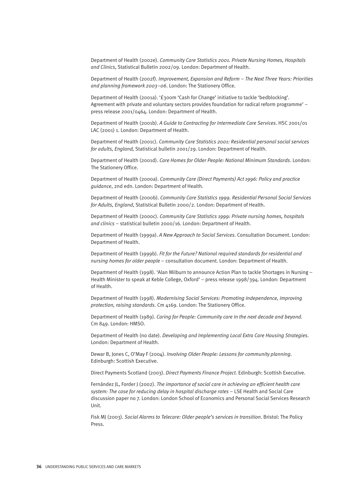Department of Health (2002e). *Community Care Statistics 2001. Private Nursing Homes, Hospitals and Clinics*, Statistical Bulletin 2002/09. London: Department of Health.

Department of Health (2002f). *Improvement, Expansion and Reform – The Next Three Years: Priorities and planning framework 2003–06*. London: The Stationery Office.

Department of Health (2001a). '£300m 'Cash for Change' initiative to tackle 'bedblocking'. Agreement with private and voluntary sectors provides foundation for radical reform programme' – press release 2001/0464. London: Department of Health.

Department of Health (2001b). *A Guide to Contracting for Intermediate Care Services*. HSC 2001/01 LAC (2001) 1. London: Department of Health.

Department of Health (2001c). *Community Care Statistics 2001: Residential personal social services for adults, England,* Statistical bulletin 2001/29. London: Department of Health.

Department of Health (2001d). *Care Homes for Older People: National Minimum Standards*. London: The Stationery Office.

Department of Health (2000a). *Community Care (Direct Payments) Act 1996: Policy and practice guidance*, 2nd edn. London: Department of Health.

Department of Health (2000b). *Community Care Statistics 1999. Residential Personal Social Services for Adults, England*, Statistical Bulletin 2000/2. London: Department of Health.

Department of Health (2000c). *Community Care Statistics 1999: Private nursing homes, hospitals and clinics* – statistical bulletin 2000/16. London: Department of Health.

Department of Health (1999a). *A New Approach to Social Services*. Consultation Document. London: Department of Health.

Department of Health (1999b). *Fit for the Future? National required standards for residential and nursing homes for older people* – consultation document. London: Department of Health.

Department of Health (1998). 'Alan Milburn to announce Action Plan to tackle Shortages in Nursing – Health Minister to speak at Keble College, Oxford' – press release 1998/394. London: Department of Health.

Department of Health (1998). *Modernising Social Services: Promoting independence, improving protection, raising standards*. Cm 4169. London: The Stationery Office.

Department of Health (1989). *Caring for People: Community care in the next decade and beyond*. Cm 849. London: HMSO.

Department of Health (no date). *Developing and Implementing Local Extra Care Housing Strategies*. London: Department of Health.

Dewar B, Jones C, O'May F (2004). *Involving Older People: Lessons for community planning*. Edinburgh: Scottish Executive.

Direct Payments Scotland (2003). *Direct Payments Finance Project*. Edinburgh: Scottish Executive.

Fernández JL, Forder J (2002). *The importance of social care in achieving an efficient health care system: The case for reducing delay in hospital discharge rates* – LSE Health and Social Care discussion paper no 7. London: London School of Economics and Personal Social Services Research Unit.

Fisk MJ (2003). *Social Alarms to Telecare: Older people's services in transition*. Bristol: The Policy Press.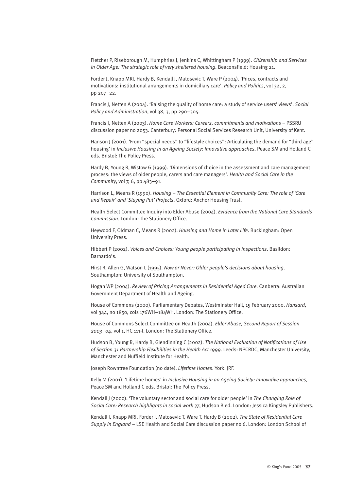Fletcher P, Riseborough M, Humphries J, Jenkins C, Whittingham P (1999). *Citizenship and Services in Older Age: The strategic role of very sheltered housing*. Beaconsfield: Housing 21.

Forder J, Knapp MRJ, Hardy B, Kendall J, Matosevic T, Ware P (2004). 'Prices, contracts and motivations: institutional arrangements in domiciliary care'. *Policy and Politics*, vol 32, 2, pp 207–22.

Francis J, Netten A (2004). 'Raising the quality of home care: a study of service users' views'. *Social Policy and Administration*, vol 38, 3, pp 290–305.

Francis J, Netten A (2003). *Home Care Workers: Careers, commitments and motivations* – PSSRU discussion paper no 2053. Canterbury: Personal Social Services Research Unit, University of Kent.

Hanson J (2001). 'From "special needs" to "lifestyle choices": Articulating the demand for "third age" housing' in *Inclusive Housing in an Ageing Society: Innovative approaches*, Peace SM and Holland C eds. Bristol: The Policy Press.

Hardy B, Young R, Wistow G (1999). 'Dimensions of choice in the assessment and care management process: the views of older people, carers and care managers'. *Health and Social Care in the Community*, vol 7, 6, pp 483–91.

Harrison L, Means R (1990). *Housing – The Essential Element in Community Care: The role of 'Care and Repair' and 'Staying Put' Projects*. Oxford: Anchor Housing Trust.

Health Select Committee Inquiry into Elder Abuse (2004). *Evidence from the National Care Standards Commission*. London: The Stationery Office.

Heywood F, Oldman C, Means R (2002). *Housing and Home in Later Life*. Buckingham: Open University Press.

Hibbert P (2002). *Voices and Choices: Young people participating in inspections*. Basildon: Barnardo's.

Hirst R, Allen G, Watson L (1995). *Now or Never: Older people's decisions about housing*. Southampton: University of Southampton.

Hogan WP (2004). *Review of Pricing Arrangements in Residential Aged Care*. Canberra: Australian Government Department of Health and Ageing.

House of Commons (2000). Parliamentary Debates, Westminster Hall, 15 February 2000. *Hansard*, vol 344, no 1850, cols 176WH–184WH. London: The Stationery Office.

House of Commons Select Committee on Health (2004). *Elder Abuse, Second Report of Session 2003–04*, vol 1, HC 111-I. London: The Stationery Office.

Hudson B, Young R, Hardy B, Glendinning C (2002). *The National Evaluation of Notifications of Use of Section 31 Partnership Flexibilities in the Health Act 1999*. Leeds: NPCRDC, Manchester University, Manchester and Nuffield Institute for Health.

Joseph Rowntree Foundation (no date). *Lifetime Homes*. York: JRF.

Kelly M (2001). 'Lifetime homes' in *Inclusive Housing in an Ageing Society: Innovative approaches*, Peace SM and Holland C eds. Bristol: The Policy Press.

Kendall J (2000). 'The voluntary sector and social care for older people' in *The Changing Role of Social Care: Research highlights in social work 37*, Hudson B ed. London: Jessica Kingsley Publishers.

Kendall J, Knapp MRJ, Forder J, Matosevic T, Ware T, Hardy B (2002). *The State of Residential Care Supply in England* – LSE Health and Social Care discussion paper no 6. London: London School of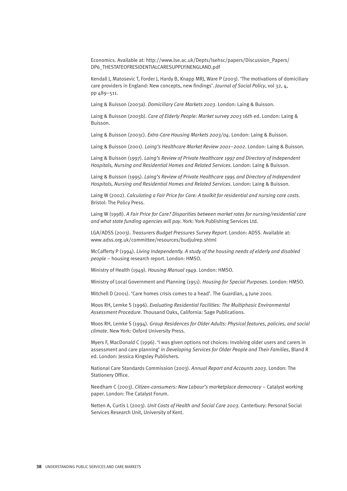Economics. Available at: http://www.lse.ac.uk/Depts/lsehsc/papers/Discussion\_Papers/ DP6\_THESTATEOFRESIDENTIALCARESUPPLYINENGLAND.pdf

Kendall J, Matosevic T, Forder J, Hardy B, Knapp MRJ, Ware P (2003). 'The motivations of domiciliary care providers in England: New concepts, new findings'. *Journal of Social Policy*, vol 32, 4, pp 489–511.

Laing & Buisson (2003a). *Domiciliary Care Markets 2003*. London: Laing & Buisson.

Laing & Buisson (2003b). *Care of Elderly People: Market survey 2003* 16th ed. London: Laing & Buisson.

Laing & Buisson (2003c). *Extra-Care Housing Markets 2003/04*. London: Laing & Buisson.

Laing & Buisson (2001). *Laing's Healthcare Market Review 2001–2002*. London: Laing & Buisson.

Laing & Buisson (1997). *Laing's Review of Private Healthcare 1997 and Directory of Independent Hospitals, Nursing and Residential Homes and Related Services*. London: Laing & Buisson.

Laing & Buisson (1995). *Laing's Review of Private Healthcare 1995 and Directory of Independent Hospitals, Nursing and Residential Homes and Related Services*. London: Laing & Buisson.

Laing W (2002). *Calculating a Fair Price for Care: A toolkit for residential and nursing care costs*. Bristol: The Policy Press.

Laing W (1998). *A Fair Price for Care? Disparities between market rates for nursing/residential care and what state funding agencies will pay*. York: York Publishing Services Ltd.

LGA/ADSS (2003). *Treasurers Budget Pressures Survey Report*. London: ADSS. Available at: www.adss.org.uk/committee/resources/budjulrep.shtml

McCafferty P (1994). *Living Independently. A study of the housing needs of elderly and disabled people* – housing research report. London: HMSO.

Ministry of Health (1949). *Housing Manual 1949*. London: HMSO.

Ministry of Local Government and Planning (1951). *Housing for Special Purposes*. London: HMSO.

Mitchell D (2001). 'Care homes crisis comes to a head'. The Guardian,  $\Delta$  lune 2001.

Moos RH, Lemke S (1996). *Evaluating Residential Facilities: The Multiphasic Environmental Assessment Procedure*. Thousand Oaks, California: Sage Publications.

Moos RH, Lemke S (1994). *Group Residences for Older Adults: Physical features, policies, and social climate*. New York: Oxford University Press.

Myers F, MacDonald C (1996). 'I was given options not choices: Involving older users and carers in assessment and care planning' in *Developing Services for Older People and Their Families*, Bland R ed. London: Jessica Kingsley Publishers.

National Care Standards Commission (2003). *Annual Report and Accounts 2003*. London: The Stationery Office.

Needham C (2003). *Citizen-consumers: New Labour's marketplace democracy* – Catalyst working paper. London: The Catalyst Forum.

Netten A, Curtis L (2003). *Unit Costs of Health and Social Care 2003*. Canterbury: Personal Social Services Research Unit, University of Kent.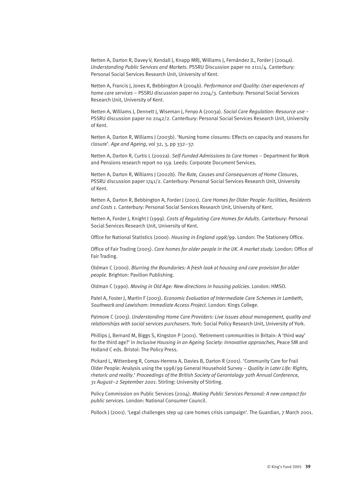Netten A, Darton R, Davey V, Kendall J, Knapp MRJ, Williams J, Fernández JL, Forder J (2004a). *Understanding Public Services and Markets*. PSSRU Discussion paper no 2111/4. Canterbury: Personal Social Services Research Unit, University of Kent.

Netten A, Francis J, Jones K, Bebbington A (2004b). *Performance and Quality: User experiences of home care services* – PSSRU discussion paper no 2104/3. Canterbury: Personal Social Services Research Unit, University of Kent.

Netten A, Williams J, Dennett J, Wiseman J, Fenyo A (2003a). *Social Care Regulation: Resource use* – PSSRU discussion paper no 2042/2. Canterbury: Personal Social Services Research Unit, University of Kent.

Netten A, Darton R, Williams J (2003b). 'Nursing home closures: Effects on capacity and reasons for closure'. *Age and Ageing*, vol 32, 3, pp 332–37.

Netten A, Darton R, Curtis L (2002a). *Self-Funded Admissions to Care Homes* – Department for Work and Pensions research report no 159. Leeds: Corporate Document Services.

Netten A, Darton R, Williams J (2002b). *The Rate, Causes and Consequences of Home Closures*, PSSRU discussion paper 1741/2. Canterbury: Personal Social Services Research Unit, University of Kent.

Netten A, Darton R, Bebbington A, Forder J (2001). *Care Homes for Older People: Facilities, Residents and Costs 1*. Canterbury: Personal Social Services Research Unit, University of Kent.

Netten A, Forder J, Knight J (1999). *Costs of Regulating Care Homes for Adults*. Canterbury: Personal Social Services Research Unit, University of Kent.

Office for National Statistics (2000). *Housing in England 1998/99*. London: The Stationery Office.

Office of Fair Trading (2005). *Care homes for older people in the UK. A market study*. London: Office of Fair Trading.

Oldman C (2000). *Blurring the Boundaries: A fresh look at housing and care provision for older people*. Brighton: Pavilion Publishing.

Oldman C (1990). *Moving in Old Age: New directions in housing policies*. London: HMSO.

Patel A, Foster J, Martin F (2003). *Economic Evaluation of Intermediate Care Schemes in Lambeth, Southwark and Lewisham: Immediate Access Project*. London: Kings College.

Patmore C (2003). *Understanding Home Care Providers: Live issues about management, quality and relationships with social services purchasers*. York: Social Policy Research Unit, University of York.

Phillips J, Bernard M, Biggs S, Kingston P (2001). 'Retirement communities in Britain: A 'third way' for the third age?' in *Inclusive Housing in an Ageing Society: Innovative approaches*, Peace SM and Holland C eds. Bristol: The Policy Press.

Pickard L, Wittenberg R, Comas-Herrera A, Davies B, Darton R (2001). 'Community Care for Frail Older People: Analysis using the 1998/99 General Household Survey – *Quality in Later Life: Rights, rhetoric and reality*.' *Proceedings of the British Society of Gerontology 30th Annual Conference, 31 August–2 September 2001*. Stirling: University of Stirling.

Policy Commission on Public Services (2004). *Making Public Services Personal: A new compact for public services*. London: National Consumer Council.

Pollock J (2001). 'Legal challenges step up care homes crisis campaign'. The Guardian, 7 March 2001.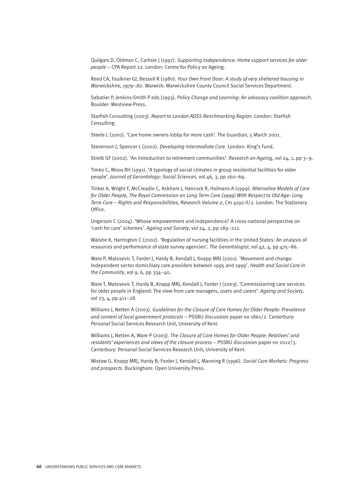Quilgars D, Oldman C, Carlisle J (1997). *Supporting Independence: Home support services for older people* – CPA Report 22. London: Centre for Policy on Ageing.

Reed CA, Faulkner GJ, Bessell R (1980). *Your Own Front Door: A study of very sheltered housing in Warwickshire, 1979–80*. Warwick: Warwickshire County Council Social Services Department.

Sabatier P, Jenkins-Smith P eds (1993). *Policy Change and Learning: An advocacy coalition approach*. Boulder: Westview Press.

Starfish Consulting (2003). *Report to London ADSS Benchmarking Region*. London: Starfish Consulting.

Steele L (2001). 'Care home owners lobby for more cash'. The Guardian, 5 March 2001.

Stevenson J, Spencer L (2002). *Developing Intermediate Care*. London: King's Fund.

Streib GF (2002). 'An introduction to retirement communities'. *Research on Ageing*, vol 24, 1, pp 3–9.

Timko C, Moos RH (1991). 'A typology of social climates in group residential facilities for older people'. *Journal of Gerontology: Social Sciences*, vol 46, 3, pp 160–69.

Tinker A, Wright F, McCreadie C, Askham J, Hancock R, Holmans A (1999). *Alternative Models of Care for Older People, The Royal Commission on Long Term Care (1999) With Respect to Old Age: Long Term Care – Rights and Responsibilities, Research Volume 2*, Cm 4192-II/2. London: The Stationery Office.

Ungerson C (2004). 'Whose empowerment and independence? A cross-national perspective on 'cash for care' schemes'. *Ageing and Society*, vol 24, 2, pp 189–212.

Walshe K, Harrington C (2002). 'Regulation of nursing facilities in the United States: An analysis of resources and performance of state survey agencies'. *The Gerontologist*, vol 42, 4, pp 475–86.

Ware P, Matosevic T, Forder J, Hardy B, Kendall J, Knapp MRJ (2001). 'Movement and change: Independent sector domiciliary care providers between 1995 and 1999'. *Health and Social Care in the Community*, vol 9, 6, pp 334–40.

Ware T, Matosevic T, Hardy B, Knapp MRJ, Kendall J, Forder J (2003). 'Commissioning care services for older people in England: The view from care managers, users and carers'. *Ageing and Society*, vol 23, 4, pp 411–28.

Williams J, Netten A (2003). *Guidelines for the Closure of Care Homes for Older People: Prevalence and content of local government protocols* – PSSRU discussion paper no 1861/2. Canterbury: Personal Social Services Research Unit, University of Kent.

Williams J, Netten A, Ware P (2003). *The Closure of Care Homes for Older People: Relatives' and residents' experiences and views of the closure process* – PSSRU discussion paper no 2012/3. Canterbury: Personal Social Services Research Unit, University of Kent.

Wistow G, Knapp MRJ, Hardy B, Forder J, Kendall J, Manning R (1996). *Social Care Markets: Progress and prospects*. Buckingham: Open University Press.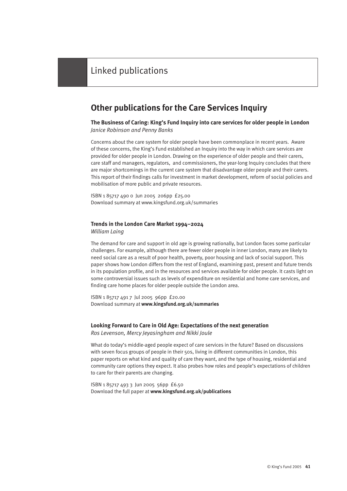# **Other publications for the Care Services Inquiry**

#### **The Business of Caring: King's Fund Inquiry into care services for older people in London** *Janice Robinson and Penny Banks*

Concerns about the care system for older people have been commonplace in recent years. Aware of these concerns, the King's Fund established an Inquiry into the way in which care services are provided for older people in London. Drawing on the experience of older people and their carers, care staff and managers, regulators, and commissioners, the year-long Inquiry concludes that there are major shortcomings in the current care system that disadvantage older people and their carers. This report of their findings calls for investment in market development, reform of social policies and mobilisation of more public and private resources.

ISBN 1 85717 490 0 Jun 2005 206pp £25.00 Download summary at www.kingsfund.org.uk/summaries

#### **Trends in the London Care Market 1994–2024** *William Laing*

The demand for care and support in old age is growing nationally, but London faces some particular challenges. For example, although there are fewer older people in inner London, many are likely to need social care as a result of poor health, poverty, poor housing and lack of social support. This paper shows how London differs from the rest of England, examining past, present and future trends in its population profile, and in the resources and services available for older people. It casts light on some controversial issues such as levels of expenditure on residential and home care services, and finding care home places for older people outside the London area.

ISBN 1 85717 491 7 Jul 2005 96pp £20.00 Download summary at **www.kingsfund.org.uk/summaries**

#### **Looking Forward to Care in Old Age: Expectations of the next generation**

*Ros Levenson, Mercy Jeyasingham and Nikki Joule*

What do today's middle-aged people expect of care services in the future? Based on discussions with seven focus groups of people in their 50s, living in different communities in London, this paper reports on what kind and quality of care they want, and the type of housing, residential and community care options they expect. It also probes how roles and people's expectations of children to care for their parents are changing.

ISBN 1 85717 493 3 Jun 2005 56pp £6.50 Download the full paper at **www.kingsfund.org.uk/publications**